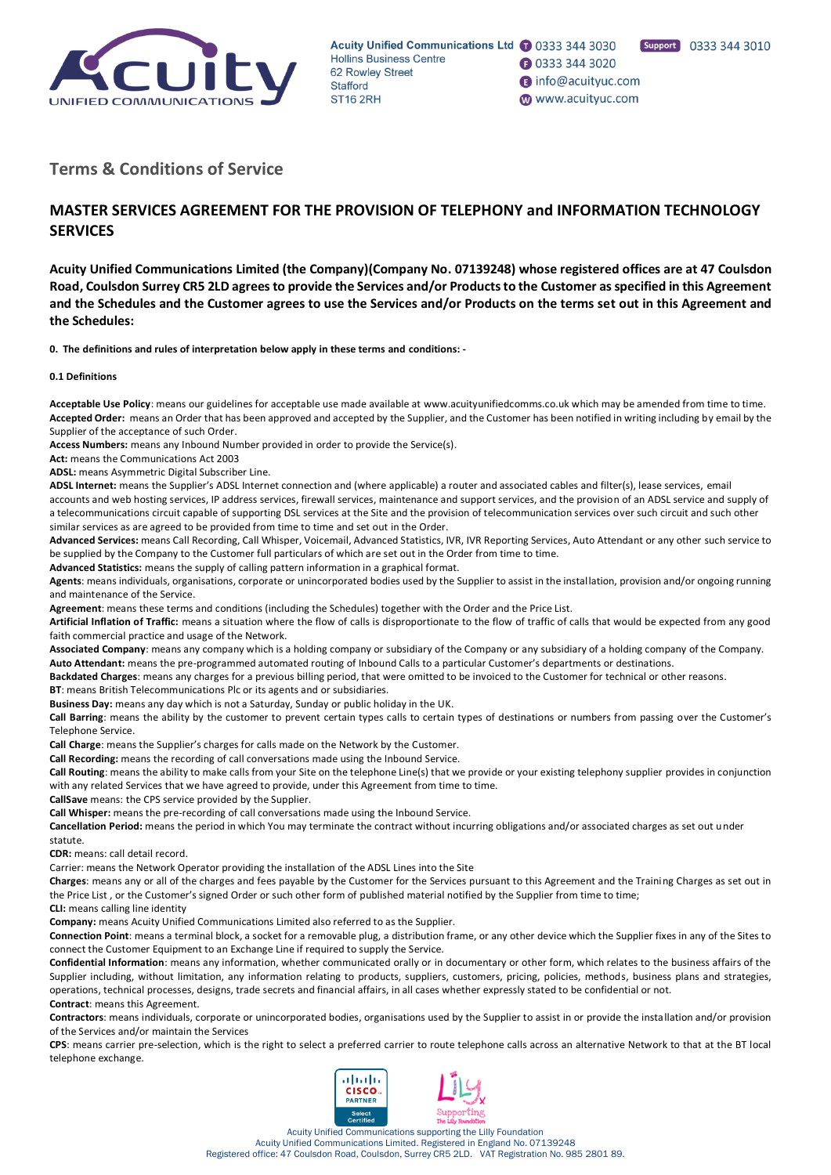

**30333 344 3020** 

nfo@acuityuc.com

www.acuityuc.com

# **Terms & Conditions of Service**

# **MASTER SERVICES AGREEMENT FOR THE PROVISION OF TELEPHONY and INFORMATION TECHNOLOGY SERVICES**

**Acuity Unified Communications Limited (the Company)(Company No. 07139248) whose registered offices are at 47 Coulsdon Road, Coulsdon Surrey CR5 2LD agrees to provide the Services and/or Products to the Customer as specified in this Agreement and the Schedules and the Customer agrees to use the Services and/or Products on the terms set out in this Agreement and the Schedules:** 

**0. The definitions and rules of interpretation below apply in these terms and conditions: -**

#### **0.1 Definitions**

**Acceptable Use Policy**: means our guidelines for acceptable use made available at www.acuityunifiedcomms.co.uk which may be amended from time to time. **Accepted Order:** means an Order that has been approved and accepted by the Supplier, and the Customer has been notified in writing including by email by the Supplier of the acceptance of such Order.

**Access Numbers:** means any Inbound Number provided in order to provide the Service(s).

**Act:** means the Communications Act 2003

**ADSL:** means Asymmetric Digital Subscriber Line.

**ADSL Internet:** means the Supplier's ADSL Internet connection and (where applicable) a router and associated cables and filter(s), lease services, email accounts and web hosting services, IP address services, firewall services, maintenance and support services, and the provision of an ADSL service and supply of a telecommunications circuit capable of supporting DSL services at the Site and the provision of telecommunication services over such circuit and such other similar services as are agreed to be provided from time to time and set out in the Order.

**Advanced Services:** means Call Recording, Call Whisper, Voicemail, Advanced Statistics, IVR, IVR Reporting Services, Auto Attendant or any other such service to be supplied by the Company to the Customer full particulars of which are set out in the Order from time to time.

**Advanced Statistics:** means the supply of calling pattern information in a graphical format.

**Agents**: means individuals, organisations, corporate or unincorporated bodies used by the Supplier to assist in the installation, provision and/or ongoing running and maintenance of the Service.

**Agreement**: means these terms and conditions (including the Schedules) together with the Order and the Price List.

**Artificial Inflation of Traffic:** means a situation where the flow of calls is disproportionate to the flow of traffic of calls that would be expected from any good faith commercial practice and usage of the Network.

**Associated Company**: means any company which is a holding company or subsidiary of the Company or any subsidiary of a holding company of the Company. **Auto Attendant:** means the pre-programmed automated routing of Inbound Calls to a particular Customer's departments or destinations.

**Backdated Charges**: means any charges for a previous billing period, that were omitted to be invoiced to the Customer for technical or other reasons.

**BT**: means British Telecommunications Plc or its agents and or subsidiaries.

**Business Day:** means any day which is not a Saturday, Sunday or public holiday in the UK.

**Call Barring**: means the ability by the customer to prevent certain types calls to certain types of destinations or numbers from passing over the Customer's Telephone Service.

**Call Charge**: means the Supplier's charges for calls made on the Network by the Customer.

**Call Recording:** means the recording of call conversations made using the Inbound Service.

**Call Routing**: means the ability to make calls from your Site on the telephone Line(s) that we provide or your existing telephony supplier provides in conjunction with any related Services that we have agreed to provide, under this Agreement from time to time.

**CallSave** means: the CPS service provided by the Supplier.

**Call Whisper:** means the pre-recording of call conversations made using the Inbound Service.

**Cancellation Period:** means the period in which You may terminate the contract without incurring obligations and/or associated charges as set out under statute.

**CDR:** means: call detail record.

Carrier: means the Network Operator providing the installation of the ADSL Lines into the Site

**Charges**: means any or all of the charges and fees payable by the Customer for the Services pursuant to this Agreement and the Training Charges as set out in the Price List , or the Customer's signed Order or such other form of published material notified by the Supplier from time to time;

**CLI:** means calling line identity

**Company:** means Acuity Unified Communications Limited also referred to as the Supplier.

**Connection Point**: means a terminal block, a socket for a removable plug, a distribution frame, or any other device which the Supplier fixes in any of the Sites to connect the Customer Equipment to an Exchange Line if required to supply the Service.

**Confidential Information**: means any information, whether communicated orally or in documentary or other form, which relates to the business affairs of the Supplier including, without limitation, any information relating to products, suppliers, customers, pricing, policies, methods, business plans and strategies, operations, technical processes, designs, trade secrets and financial affairs, in all cases whether expressly stated to be confidential or not. **Contract**: means this Agreement.

**Contractors**: means individuals, corporate or unincorporated bodies, organisations used by the Supplier to assist in or provide the installation and/or provision of the Services and/or maintain the Services

**CPS**: means carrier pre-selection, which is the right to select a preferred carrier to route telephone calls across an alternative Network to that at the BT local telephone exchange.

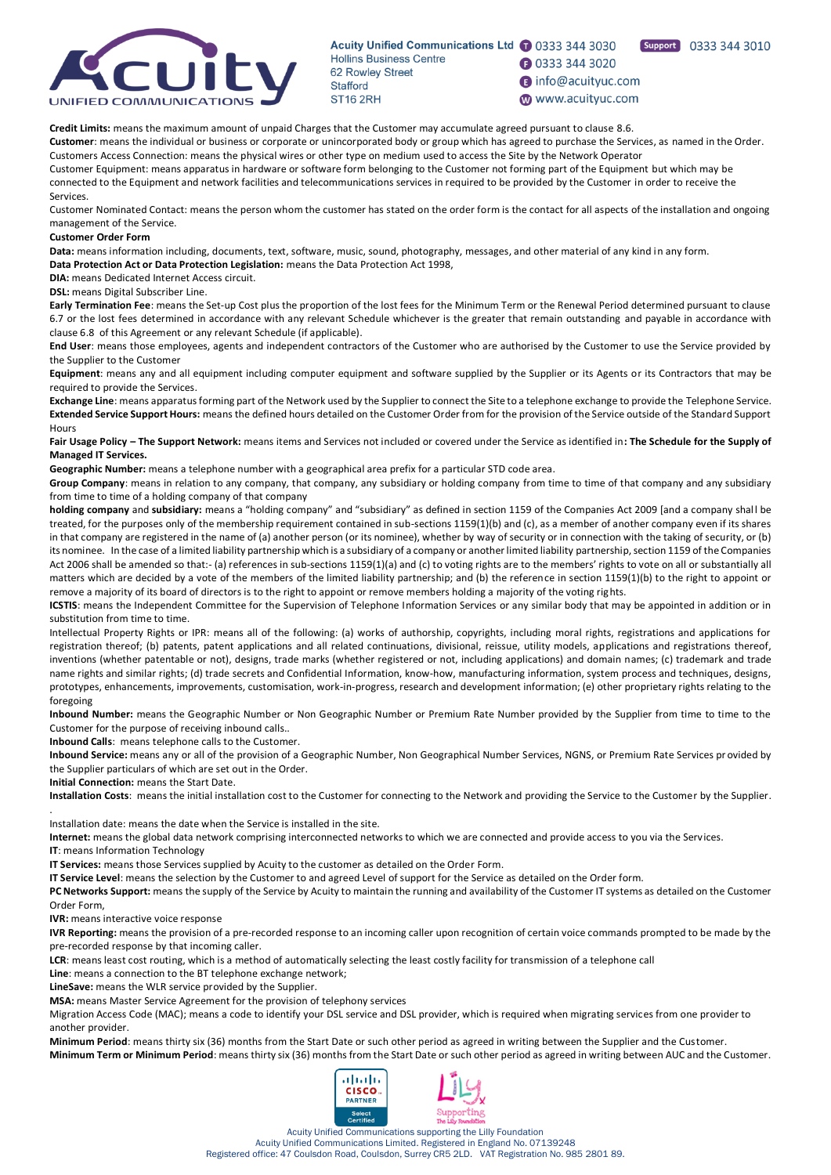

**1** 0333 344 3020

**B** info@acuityuc.com

Support 0333 344 3010

www.acuityuc.com

**Credit Limits:** means the maximum amount of unpaid Charges that the Customer may accumulate agreed pursuant to clause [8.6.](#page-10-0) 

**Customer**: means the individual or business or corporate or unincorporated body or group which has agreed to purchase the Services, as named in the Order. Customers Access Connection: means the physical wires or other type on medium used to access the Site by the Network Operator

Customer Equipment: means apparatus in hardware or software form belonging to the Customer not forming part of the Equipment but which may be connected to the Equipment and network facilities and telecommunications services in required to be provided by the Customer in order to receive the Services.

Customer Nominated Contact: means the person whom the customer has stated on the order form is the contact for all aspects of the installation and ongoing management of the Service.

### **Customer Order Form**

**Data:** means information including, documents, text, software, music, sound, photography, messages, and other material of any kind in any form.

**Data Protection Act or Data Protection Legislation:** means the Data Protection Act 1998,

**DIA:** means Dedicated Internet Access circuit.

**DSL:** means Digital Subscriber Line.

**Early Termination Fee**: means the Set-up Cost plus the proportion of the lost fees for the Minimum Term or the Renewal Period determined pursuant to clause 6.7 or the lost fees determined in accordance with any relevant Schedule whichever is the greater that remain outstanding and payable in accordance with claus[e 6.8](#page-9-0) of this Agreement or any relevant Schedule (if applicable).

**End User**: means those employees, agents and independent contractors of the Customer who are authorised by the Customer to use the Service provided by the Supplier to the Customer

**Equipment**: means any and all equipment including computer equipment and software supplied by the Supplier or its Agents or its Contractors that may be required to provide the Services.

**Exchange Line**: means apparatus forming part of the Network used by the Supplier to connect the Site to a telephone exchange to provide the Telephone Service. **Extended Service Support Hours:** means the defined hours detailed on the Customer Order from for the provision of the Service outside of the Standard Support **Hours** 

**Fair Usage Policy – The Support Network:** means items and Services not included or covered under the Service as identified in**: The Schedule for the Supply of Managed IT Services.** 

**Geographic Number:** means a telephone number with a geographical area prefix for a particular STD code area.

**Group Company**: means in relation to any company, that company, any subsidiary or holding company from time to time of that company and any subsidiary from time to time of a holding company of that company

**holding company** and **subsidiary:** means a "holding company" and "subsidiary" as defined in section 1159 of the Companies Act 2009 [and a company shall be treated, for the purposes only of the membership requirement contained in sub-sections 1159(1)(b) and (c), as a member of another company even if its shares in that company are registered in the name of (a) another person (or its nominee), whether by way of security or in connection with the taking of security, or (b) its nominee. In the case of a limited liability partnership which is a subsidiary of a company or another limited liability partnership, section 1159 of the Companies Act 2006 shall be amended so that:- (a) references in sub-sections 1159(1)(a) and (c) to voting rights are to the members' rights to vote on all or substantially all matters which are decided by a vote of the members of the limited liability partnership; and (b) the reference in section 1159(1)(b) to the right to appoint or remove a majority of its board of directors is to the right to appoint or remove members holding a majority of the voting rights.

**ICSTIS**: means the Independent Committee for the Supervision of Telephone Information Services or any similar body that may be appointed in addition or in substitution from time to time.

Intellectual Property Rights or IPR: means all of the following: (a) works of authorship, copyrights, including moral rights, registrations and applications for registration thereof; (b) patents, patent applications and all related continuations, divisional, reissue, utility models, applications and registrations thereof, inventions (whether patentable or not), designs, trade marks (whether registered or not, including applications) and domain names; (c) trademark and trade name rights and similar rights; (d) trade secrets and Confidential Information, know-how, manufacturing information, system process and techniques, designs, prototypes, enhancements, improvements, customisation, work-in-progress, research and development information; (e) other proprietary rights relating to the foregoing

**Inbound Number:** means the Geographic Number or Non Geographic Number or Premium Rate Number provided by the Supplier from time to time to the Customer for the purpose of receiving inbound calls..

**Inbound Calls**: means telephone calls to the Customer.

**Inbound Service:** means any or all of the provision of a Geographic Number, Non Geographical Number Services, NGNS, or Premium Rate Services pr ovided by the Supplier particulars of which are set out in the Order.

**Initial Connection:** means the Start Date.

**Installation Costs**: means the initial installation cost to the Customer for connecting to the Network and providing the Service to the Customer by the Supplier.

Installation date: means the date when the Service is installed in the site.

**Internet:** means the global data network comprising interconnected networks to which we are connected and provide access to you via the Services.

**IT**: means Information Technology

.

**IT Services:** means those Services supplied by Acuity to the customer as detailed on the Order Form.

**IT Service Level**: means the selection by the Customer to and agreed Level of support for the Service as detailed on the Order form.

**PC Networks Support:** means the supply of the Service by Acuity to maintain the running and availability of the Customer IT systems as detailed on the Customer Order Form,

**IVR:** means interactive voice response

**IVR Reporting:** means the provision of a pre-recorded response to an incoming caller upon recognition of certain voice commands prompted to be made by the pre-recorded response by that incoming caller.

**LCR**: means least cost routing, which is a method of automatically selecting the least costly facility for transmission of a telephone call

**Line**: means a connection to the BT telephone exchange network;

**LineSave:** means the WLR service provided by the Supplier.

**MSA:** means Master Service Agreement for the provision of telephony services

Migration Access Code (MAC); means a code to identify your DSL service and DSL provider, which is required when migrating services from one provider to another provider.

**Minimum Period**: means thirty six (36) months from the Start Date or such other period as agreed in writing between the Supplier and the Customer. **Minimum Term or Minimum Period**: means thirty six (36) months from the Start Date or such other period as agreed in writing between AUC and the Customer.

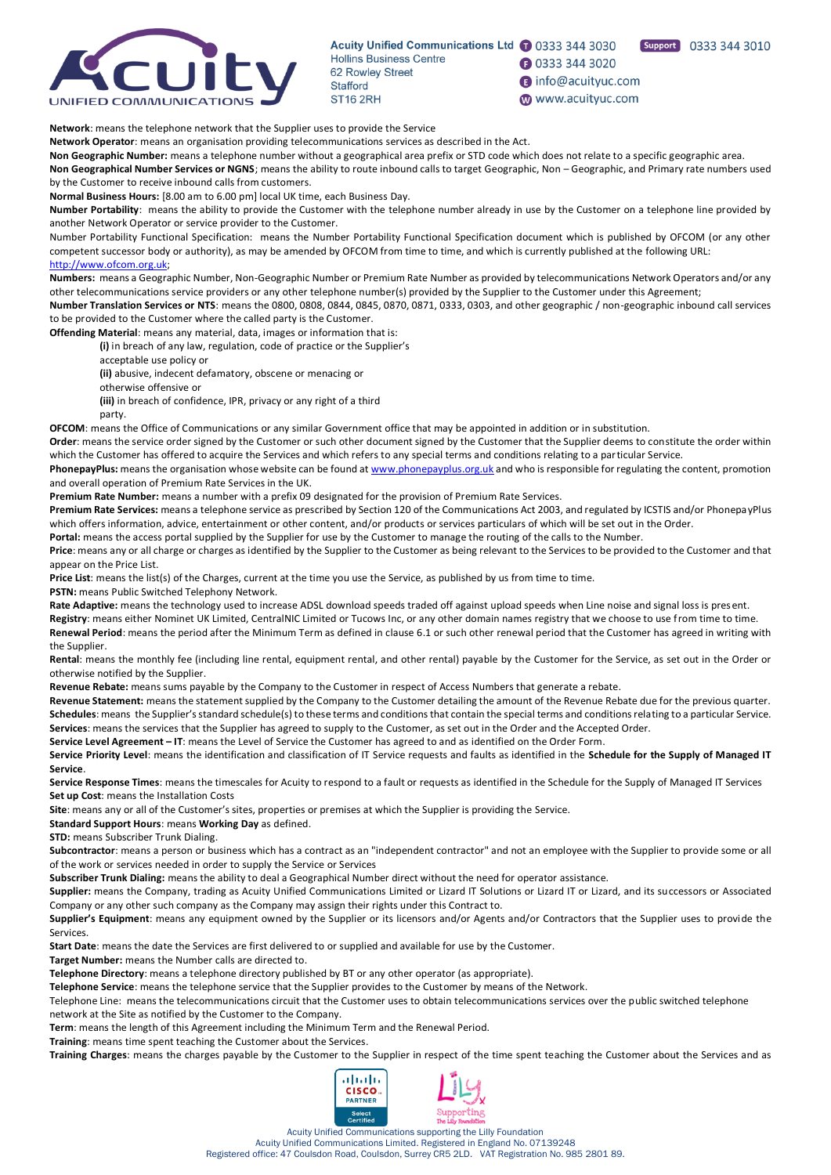

**1** 0333 344 3020

nfo@acuityuc.com

www.acuityuc.com

Support 0333 344 3010

**Network**: means the telephone network that the Supplier uses to provide the Service

**Network Operator**: means an organisation providing telecommunications services as described in the Act.

**Non Geographic Number:** means a telephone number without a geographical area prefix or STD code which does not relate to a specific geographic area. **Non Geographical Number Services or NGNS**; means the ability to route inbound calls to target Geographic, Non – Geographic, and Primary rate numbers used by the Customer to receive inbound calls from customers.

**Normal Business Hours:** [8.00 am to 6.00 pm] local UK time, each Business Day.

**Number Portability**: means the ability to provide the Customer with the telephone number already in use by the Customer on a telephone line provided by another Network Operator or service provider to the Customer.

Number Portability Functional Specification: means the Number Portability Functional Specification document which is published by OFCOM (or any other competent successor body or authority), as may be amended by OFCOM from time to time, and which is currently published at the following URL: [http://www.ofcom.org.uk;](http://www.ofcom.org.uk/)

**Numbers:** means a Geographic Number, Non-Geographic Number or Premium Rate Number as provided by telecommunications Network Operators and/or any other telecommunications service providers or any other telephone number(s) provided by the Supplier to the Customer under this Agreement;

**Number Translation Services or NTS**: means the 0800, 0808, 0844, 0845, 0870, 0871, 0333, 0303, and other geographic / non-geographic inbound call services to be provided to the Customer where the called party is the Customer.

**Offending Material**: means any material, data, images or information that is:

**(i)** in breach of any law, regulation, code of practice or the Supplier's

acceptable use policy or

**(ii)** abusive, indecent defamatory, obscene or menacing or

otherwise offensive or

**(iii)** in breach of confidence, IPR, privacy or any right of a third party.

**OFCOM**: means the Office of Communications or any similar Government office that may be appointed in addition or in substitution.

**Order**: means the service order signed by the Customer or such other document signed by the Customer that the Supplier deems to constitute the order within which the Customer has offered to acquire the Services and which refers to any special terms and conditions relating to a particular Service.

PhonepayPlus: means the organisation whose website can be found a[t www.phonepayplus.org.uk](http://www.phonepayplus.org.uk/) and who is responsible for regulating the content, promotion and overall operation of Premium Rate Services in the UK.

**Premium Rate Number:** means a number with a prefix 09 designated for the provision of Premium Rate Services.

**Premium Rate Services:** means a telephone service as prescribed by Section 120 of the Communications Act 2003, and regulated by ICSTIS and/or PhonepayPlus which offers information, advice, entertainment or other content, and/or products or services particulars of which will be set out in the Order.

Portal: means the access portal supplied by the Supplier for use by the Customer to manage the routing of the calls to the Number.

**Price**: means any or all charge or charges as identified by the Supplier to the Customer as being relevant to the Services to be provided to the Customer and that appear on the Price List.

**Price List**: means the list(s) of the Charges, current at the time you use the Service, as published by us from time to time.

**PSTN:** means Public Switched Telephony Network.

Rate Adaptive: means the technology used to increase ADSL download speeds traded off against upload speeds when Line noise and signal loss is pres ent.

**Registry**: means either Nominet UK Limited, CentralNIC Limited or Tucows Inc, or any other domain names registry that we choose to use from time to time. **Renewal Period**: means the period after the Minimum Term as defined in clause [6.1](#page-8-0) or such other renewal period that the Customer has agreed in writing with the Supplier.

**Rental**: means the monthly fee (including line rental, equipment rental, and other rental) payable by the Customer for the Service, as set out in the Order or otherwise notified by the Supplier.

**Revenue Rebate:** means sums payable by the Company to the Customer in respect of Access Numbers that generate a rebate.

**Revenue Statement:** means the statement supplied by the Company to the Customer detailing the amount of the Revenue Rebate due for the previous quarter. **Schedules**: means the Supplier's standard schedule(s) to these terms and conditions that contain the special terms and conditions relating to a particular Service. **Services**: means the services that the Supplier has agreed to supply to the Customer, as set out in the Order and the Accepted Order.

**Service Level Agreement – IT**: means the Level of Service the Customer has agreed to and as identified on the Order Form.

**Service Priority Level**: means the identification and classification of IT Service requests and faults as identified in the **Schedule for the Supply of Managed IT Service**.

**Service Response Times**: means the timescales for Acuity to respond to a fault or requests as identified in the Schedule for the Supply of Managed IT Services **Set up Cost**: means the Installation Costs

**Site**: means any or all of the Customer's sites, properties or premises at which the Supplier is providing the Service.

**Standard Support Hours**: means **Working Day** as defined.

**STD:** means Subscriber Trunk Dialing.

**Subcontractor**: means a person or business which has a contract as an "independent contractor" and not an employee with the Supplier to provide some or all of the work or services needed in order to supply the Service or Services

**Subscriber Trunk Dialing:** means the ability to deal a Geographical Number direct without the need for operator assistance.

**Supplier:** means the Company, trading as Acuity Unified Communications Limited or Lizard IT Solutions or Lizard IT or Lizard, and its successors or Associated Company or any other such company as the Company may assign their rights under this Contract to.

**Supplier's Equipment**: means any equipment owned by the Supplier or its licensors and/or Agents and/or Contractors that the Supplier uses to provide the Services.

**Start Date**: means the date the Services are first delivered to or supplied and available for use by the Customer.

**Target Number:** means the Number calls are directed to.

**Telephone Directory**: means a telephone directory published by BT or any other operator (as appropriate).

**Telephone Service**: means the telephone service that the Supplier provides to the Customer by means of the Network.

Telephone Line: means the telecommunications circuit that the Customer uses to obtain telecommunications services over the public switched telephone network at the Site as notified by the Customer to the Company.

**Term**: means the length of this Agreement including the Minimum Term and the Renewal Period.

**Training**: means time spent teaching the Customer about the Services.

**Training Charges**: means the charges payable by the Customer to the Supplier in respect of the time spent teaching the Customer about the Services and as



Acuity Unified Communications supporting the Lilly Foundation Acuity Unified Communications Limited. Registered in England No. 07139248

Registered office: 47 Coulsdon Road, Coulsdon, Surrey CR5 2LD. VAT Registration No. 985 2801 89.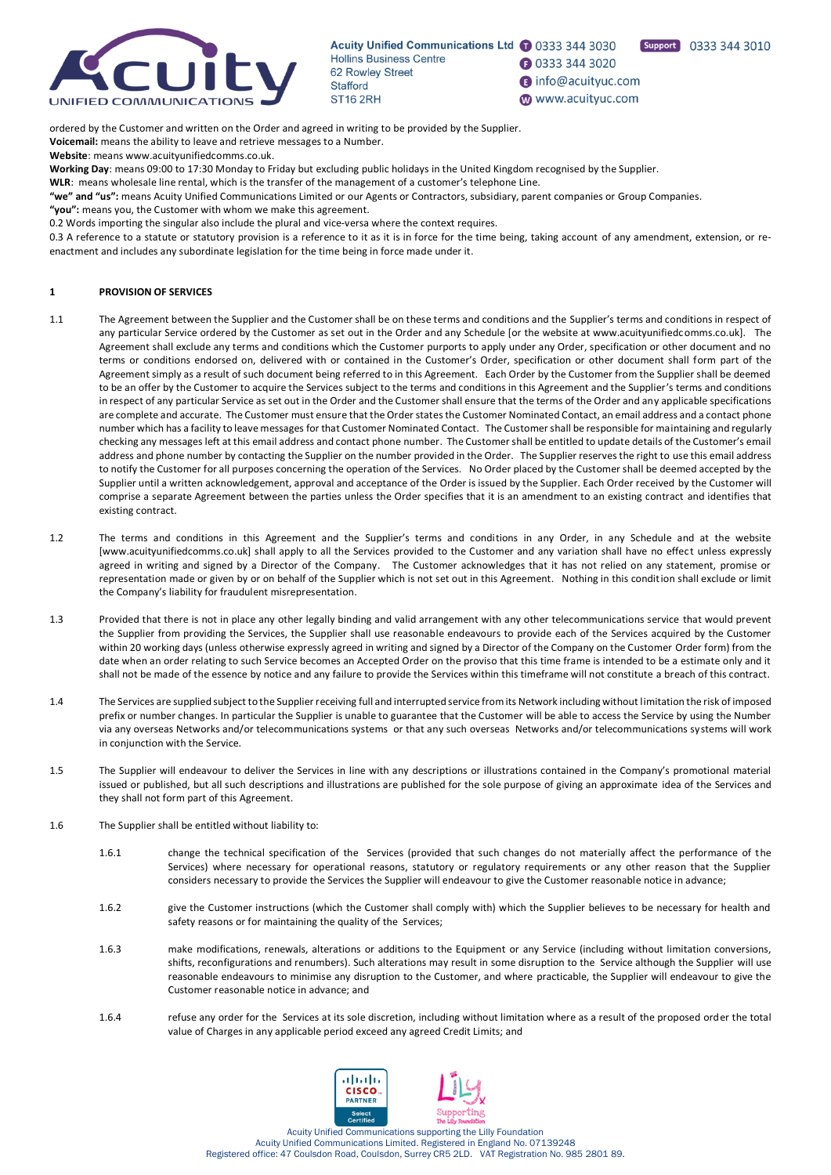

Support 0333 344 3010

**1** 0333 344 3020 **B** info@acuityuc.com

www.acuityuc.com

ordered by the Customer and written on the Order and agreed in writing to be provided by the Supplier. **Voicemail:** means the ability to leave and retrieve messages to a Number.

**Website**: means www.acuityunifiedcomms.co.uk.

**Working Day**: means 09:00 to 17:30 Monday to Friday but excluding public holidays in the United Kingdom recognised by the Supplier.

**WLR**: means wholesale line rental, which is the transfer of the management of a customer's telephone Line.

**"we" and "us":** means Acuity Unified Communications Limited or our Agents or Contractors, subsidiary, parent companies or Group Companies.

**"you":** means you, the Customer with whom we make this agreement.

0.2 Words importing the singular also include the plural and vice-versa where the context requires.

0.3 A reference to a statute or statutory provision is a reference to it as it is in force for the time being, taking account of any amendment, extension, or reenactment and includes any subordinate legislation for the time being in force made under it.

# **1 PROVISION OF SERVICES**

- 1.1 The Agreement between the Supplier and the Customer shall be on these terms and conditions and the Supplier's terms and conditions in respect of any particular Service ordered by the Customer as set out in the Order and any Schedule [or the website at www.acuityunifiedcomms.co.uk]. The Agreement shall exclude any terms and conditions which the Customer purports to apply under any Order, specification or other document and no terms or conditions endorsed on, delivered with or contained in the Customer's Order, specification or other document shall form part of the Agreement simply as a result of such document being referred to in this Agreement. Each Order by the Customer from the Supplier shall be deemed to be an offer by the Customer to acquire the Services subject to the terms and conditions in this Agreement and the Supplier's terms and conditions in respect of any particular Service as set out in the Order and the Customer shall ensure that the terms of the Order and any applicable specifications are complete and accurate. The Customer must ensure that the Order states the Customer Nominated Contact, an email address and a contact phone number which has a facility to leave messages for that Customer Nominated Contact. The Customer shall be responsible for maintaining and regularly checking any messages left at this email address and contact phone number. The Customer shall be entitled to update details of the Customer's email address and phone number by contacting the Supplier on the number provided in the Order. The Supplier reserves the right to use this email address to notify the Customer for all purposes concerning the operation of the Services. No Order placed by the Customer shall be deemed accepted by the Supplier until a written acknowledgement, approval and acceptance of the Order is issued by the Supplier. Each Order received by the Customer will comprise a separate Agreement between the parties unless the Order specifies that it is an amendment to an existing contract and identifies that existing contract.
- 1.2 The terms and conditions in this Agreement and the Supplier's terms and conditions in any Order, in any Schedule and at the website [www.acuityunifiedcomms.co.uk] shall apply to all the Services provided to the Customer and any variation shall have no effect unless expressly agreed in writing and signed by a Director of the Company. The Customer acknowledges that it has not relied on any statement, promise or representation made or given by or on behalf of the Supplier which is not set out in this Agreement. Nothing in this condition shall exclude or limit the Company's liability for fraudulent misrepresentation.
- 1.3 Provided that there is not in place any other legally binding and valid arrangement with any other telecommunications service that would prevent the Supplier from providing the Services, the Supplier shall use reasonable endeavours to provide each of the Services acquired by the Customer within 20 working days (unless otherwise expressly agreed in writing and signed by a Director of the Company on the Customer Order form) from the date when an order relating to such Service becomes an Accepted Order on the proviso that this time frame is intended to be a estimate only and it shall not be made of the essence by notice and any failure to provide the Services within this timeframe will not constitute a breach of this contract.
- 1.4 The Services are supplied subject to the Supplier receiving full and interrupted service from its Network including without limitation the risk of imposed prefix or number changes. In particular the Supplier is unable to guarantee that the Customer will be able to access the Service by using the Number via any overseas Networks and/or telecommunications systems or that any such overseas Networks and/or telecommunications systems will work in conjunction with the Service.
- 1.5 The Supplier will endeavour to deliver the Services in line with any descriptions or illustrations contained in the Company's promotional material issued or published, but all such descriptions and illustrations are published for the sole purpose of giving an approximate idea of the Services and they shall not form part of this Agreement.
- 1.6 The Supplier shall be entitled without liability to:
	- 1.6.1 change the technical specification of the Services (provided that such changes do not materially affect the performance of the Services) where necessary for operational reasons, statutory or regulatory requirements or any other reason that the Supplier considers necessary to provide the Services the Supplier will endeavour to give the Customer reasonable notice in advance;
	- 1.6.2 give the Customer instructions (which the Customer shall comply with) which the Supplier believes to be necessary for health and safety reasons or for maintaining the quality of the Services:
	- 1.6.3 make modifications, renewals, alterations or additions to the Equipment or any Service (including without limitation conversions, shifts, reconfigurations and renumbers). Such alterations may result in some disruption to the Service although the Supplier will use reasonable endeavours to minimise any disruption to the Customer, and where practicable, the Supplier will endeavour to give the Customer reasonable notice in advance; and
	- 1.6.4 refuse any order for the Services at its sole discretion, including without limitation where as a result of the proposed order the total value of Charges in any applicable period exceed any agreed Credit Limits; and

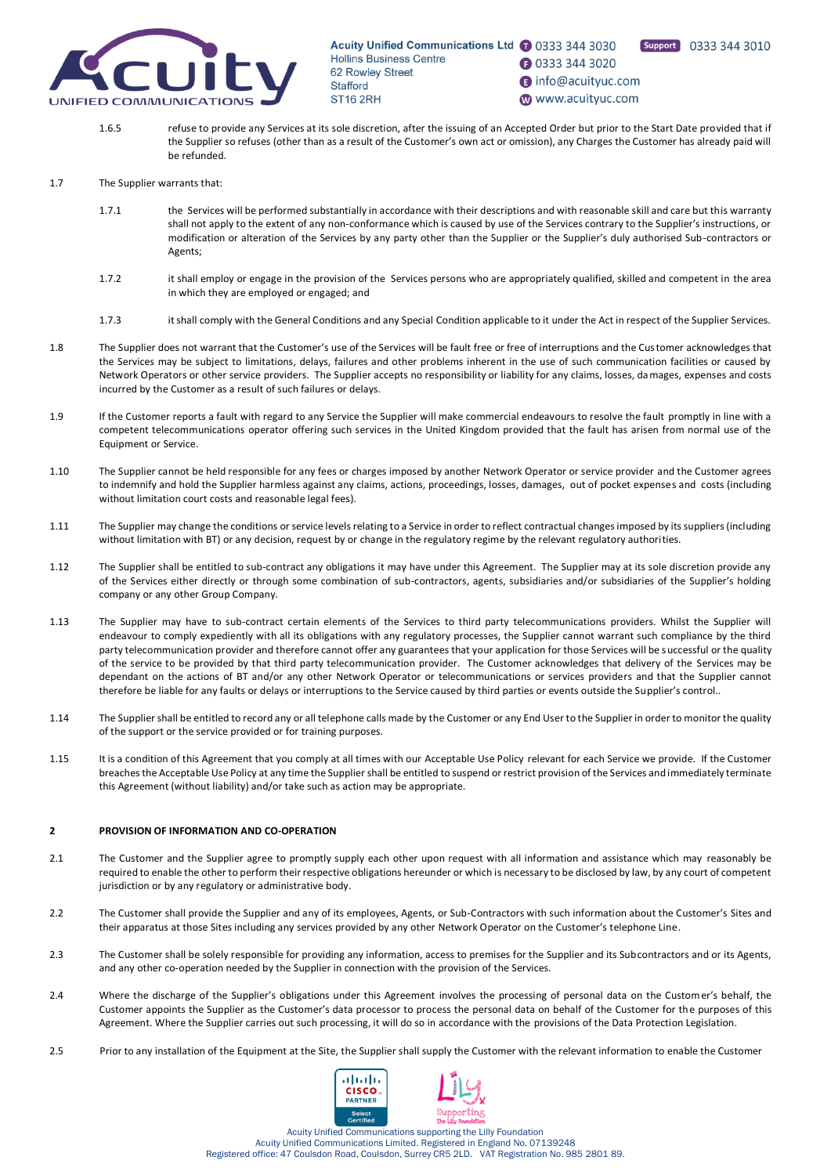

**1** 0333 344 3020

nfo@acuityuc.com

www.acuityuc.com

Support 0333 344 3010

1.6.5 refuse to provide any Services at its sole discretion, after the issuing of an Accepted Order but prior to the Start Date provided that if the Supplier so refuses (other than as a result of the Customer's own act or omission), any Charges the Customer has already paid will be refunded.

#### 1.7 The Supplier warrants that:

- 1.7.1 the Services will be performed substantially in accordance with their descriptions and with reasonable skill and care but this warranty shall not apply to the extent of any non-conformance which is caused by use of the Services contrary to the Supplier's instructions, or modification or alteration of the Services by any party other than the Supplier or the Supplier's duly authorised Sub-contractors or Agents;
- 1.7.2 it shall employ or engage in the provision of the Services persons who are appropriately qualified, skilled and competent in the area in which they are employed or engaged; and
- 1.7.3 it shall comply with the General Conditions and any Special Condition applicable to it under the Act in respect of the Supplier Services.
- 1.8 The Supplier does not warrant that the Customer's use of the Services will be fault free or free of interruptions and the Customer acknowledges that the Services may be subject to limitations, delays, failures and other problems inherent in the use of such communication facilities or caused by Network Operators or other service providers. The Supplier accepts no responsibility or liability for any claims, losses, damages, expenses and costs incurred by the Customer as a result of such failures or delays.
- 1.9 If the Customer reports a fault with regard to any Service the Supplier will make commercial endeavours to resolve the fault promptly in line with a competent telecommunications operator offering such services in the United Kingdom provided that the fault has arisen from normal use of the Equipment or Service.
- 1.10 The Supplier cannot be held responsible for any fees or charges imposed by another Network Operator or service provider and the Customer agrees to indemnify and hold the Supplier harmless against any claims, actions, proceedings, losses, damages, out of pocket expenses and costs (including without limitation court costs and reasonable legal fees).
- <span id="page-4-0"></span>1.11 The Supplier may change the conditions or service levels relating to a Service in order to reflect contractual changes imposed by its suppliers (including without limitation with BT) or any decision, request by or change in the regulatory regime by the relevant regulatory authorities.
- 1.12 The Supplier shall be entitled to sub-contract any obligations it may have under this Agreement. The Supplier may at its sole discretion provide any of the Services either directly or through some combination of sub-contractors, agents, subsidiaries and/or subsidiaries of the Supplier's holding company or any other Group Company.
- 1.13 The Supplier may have to sub-contract certain elements of the Services to third party telecommunications providers. Whilst the Supplier will endeavour to comply expediently with all its obligations with any regulatory processes, the Supplier cannot warrant such compliance by the third party telecommunication provider and therefore cannot offer any guarantees that your application for those Services will be successful or the quality of the service to be provided by that third party telecommunication provider. The Customer acknowledges that delivery of the Services may be dependant on the actions of BT and/or any other Network Operator or telecommunications or services providers and that the Supplier cannot therefore be liable for any faults or delays or interruptions to the Service caused by third parties or events outside the Supplier's control..
- 1.14 The Supplier shall be entitled to record any or all telephone calls made by the Customer or any End User to the Supplier in order to monitor the quality of the support or the service provided or for training purposes.
- 1.15 It is a condition of this Agreement that you comply at all times with our Acceptable Use Policy relevant for each Service we provide. If the Customer breaches the Acceptable Use Policy at any time the Supplier shall be entitled to suspend or restrict provision of the Services and immediately terminate this Agreement (without liability) and/or take such as action may be appropriate.

# **2 PROVISION OF INFORMATION AND CO-OPERATION**

- 2.1 The Customer and the Supplier agree to promptly supply each other upon request with all information and assistance which may reasonably be required to enable the other to perform their respective obligations hereunder or which is necessary to be disclosed by law, by any court of competent jurisdiction or by any regulatory or administrative body.
- 2.2 The Customer shall provide the Supplier and any of its employees, Agents, or Sub-Contractors with such information about the Customer's Sites and their apparatus at those Sites including any services provided by any other Network Operator on the Customer's telephone Line.
- 2.3 The Customer shall be solely responsible for providing any information, access to premises for the Supplier and its Subcontractors and or its Agents, and any other co-operation needed by the Supplier in connection with the provision of the Services.
- 2.4 Where the discharge of the Supplier's obligations under this Agreement involves the processing of personal data on the Customer's behalf, the Customer appoints the Supplier as the Customer's data processor to process the personal data on behalf of the Customer for the purposes of this Agreement. Where the Supplier carries out such processing, it will do so in accordance with the provisions of the Data Protection Legislation.
- 2.5 Prior to any installation of the Equipment at the Site, the Supplier shall supply the Customer with the relevant information to enable the Customer

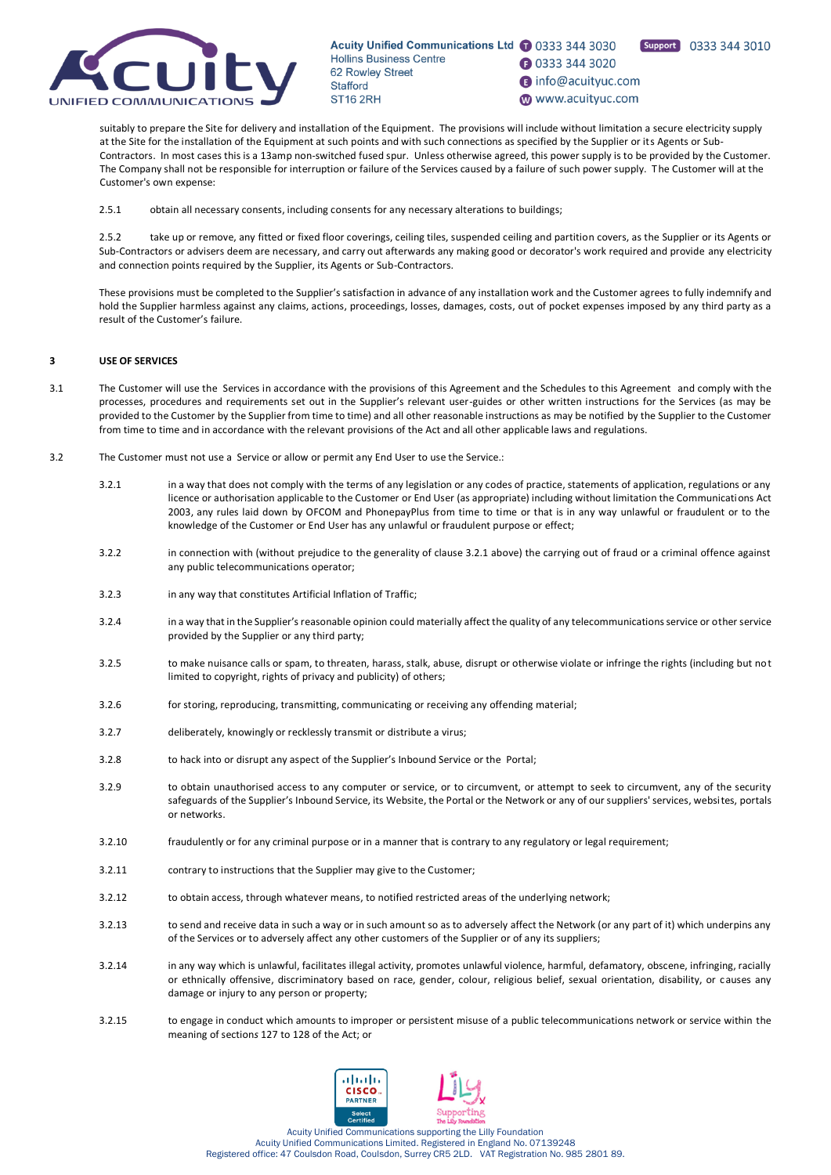

Support 0333 344 3010

**1** 0333 344 3020

nfo@acuityuc.com

www.acuityuc.com

suitably to prepare the Site for delivery and installation of the Equipment. The provisions will include without limitation a secure electricity supply at the Site for the installation of the Equipment at such points and with such connections as specified by the Supplier or its Agents or Sub-Contractors. In most cases this is a 13amp non-switched fused spur. Unless otherwise agreed, this power supply is to be provided by the Customer. The Company shall not be responsible for interruption or failure of the Services caused by a failure of such power supply. The Customer will at the Customer's own expense:

2.5.1 obtain all necessary consents, including consents for any necessary alterations to buildings;

2.5.2 take up or remove, any fitted or fixed floor coverings, ceiling tiles, suspended ceiling and partition covers, as the Supplier or its Agents or Sub-Contractors or advisers deem are necessary, and carry out afterwards any making good or decorator's work required and provide any electricity and connection points required by the Supplier, its Agents or Sub-Contractors.

These provisions must be completed to the Supplier's satisfaction in advance of any installation work and the Customer agrees to fully indemnify and hold the Supplier harmless against any claims, actions, proceedings, losses, damages, costs, out of pocket expenses imposed by any third party as a result of the Customer's failure.

# **3 USE OF SERVICES**

- 3.1 The Customer will use the Services in accordance with the provisions of this Agreement and the Schedules to this Agreement and comply with the processes, procedures and requirements set out in the Supplier's relevant user-guides or other written instructions for the Services (as may be provided to the Customer by the Supplier from time to time) and all other reasonable instructions as may be notified by the Supplier to the Customer from time to time and in accordance with the relevant provisions of the Act and all other applicable laws and regulations.
- 3.2 The Customer must not use a Service or allow or permit any End User to use the Service.:
	- 3.2.1 in a way that does not comply with the terms of any legislation or any codes of practice, statements of application, regulations or any licence or authorisation applicable to the Customer or End User (as appropriate) including without limitation the Communications Act 2003, any rules laid down by OFCOM and PhonepayPlus from time to time or that is in any way unlawful or fraudulent or to the knowledge of the Customer or End User has any unlawful or fraudulent purpose or effect;
	- 3.2.2 in connection with (without prejudice to the generality of clause 3.2.1 above) the carrying out of fraud or a criminal offence against any public telecommunications operator;
	- 3.2.3 in any way that constitutes Artificial Inflation of Traffic;
	- 3.2.4 in a way that in the Supplier's reasonable opinion could materially affect the quality of any telecommunications service or other service provided by the Supplier or any third party;
	- 3.2.5 to make nuisance calls or spam, to threaten, harass, stalk, abuse, disrupt or otherwise violate or infringe the rights (including but not limited to copyright, rights of privacy and publicity) of others;
	- 3.2.6 for storing, reproducing, transmitting, communicating or receiving any offending material;
	- 3.2.7 deliberately, knowingly or recklessly transmit or distribute a virus;
	- 3.2.8 to hack into or disrupt any aspect of the Supplier's Inbound Service or the Portal;
	- 3.2.9 to obtain unauthorised access to any computer or service, or to circumvent, or attempt to seek to circumvent, any of the security safeguards of the Supplier's Inbound Service, its Website, the Portal or the Network or any of our suppliers' services, websites, portals or networks.
	- 3.2.10 fraudulently or for any criminal purpose or in a manner that is contrary to any regulatory or legal requirement;
	- 3.2.11 contrary to instructions that the Supplier may give to the Customer;
	- 3.2.12 to obtain access, through whatever means, to notified restricted areas of the underlying network;
	- 3.2.13 to send and receive data in such a way or in such amount so as to adversely affect the Network (or any part of it) which underpins any of the Services or to adversely affect any other customers of the Supplier or of any its suppliers;
	- 3.2.14 in any way which is unlawful, facilitates illegal activity, promotes unlawful violence, harmful, defamatory, obscene, infringing, racially or ethnically offensive, discriminatory based on race, gender, colour, religious belief, sexual orientation, disability, or causes any damage or injury to any person or property;
	- 3.2.15 to engage in conduct which amounts to improper or persistent misuse of a public telecommunications network or service within the meaning of section*s* 127 to 128 of the Act; or

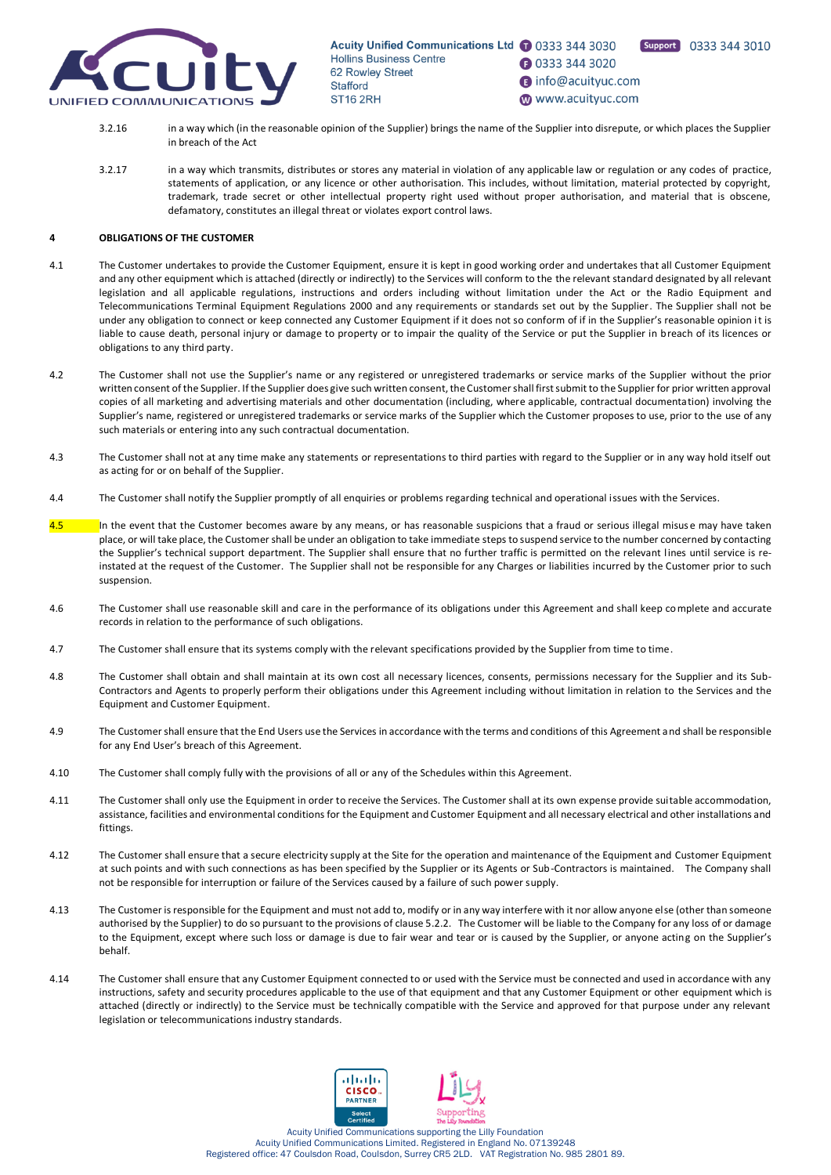

- Support 0333 344 3010
- nfo@acuityuc.com
- www.acuityuc.com

**1** 0333 344 3020

- 3.2.16 in a way which (in the reasonable opinion of the Supplier) brings the name of the Supplier into disrepute, or which places the Supplier in breach of the Act
- 3.2.17 in a way which transmits, distributes or stores any material in violation of any applicable law or regulation or any codes of practice, statements of application, or any licence or other authorisation. This includes, without limitation, material protected by copyright, trademark, trade secret or other intellectual property right used without proper authorisation, and material that is obscene, defamatory, constitutes an illegal threat or violates export control laws.

# **4 OBLIGATIONS OF THE CUSTOMER**

- 4.1 The Customer undertakes to provide the Customer Equipment, ensure it is kept in good working order and undertakes that all Customer Equipment and any other equipment which is attached (directly or indirectly) to the Services will conform to the the relevant standard designated by all relevant legislation and all applicable regulations, instructions and orders including without limitation under the Act or the Radio Equipment and Telecommunications Terminal Equipment Regulations 2000 and any requirements or standards set out by the Supplier. The Supplier shall not be under any obligation to connect or keep connected any Customer Equipment if it does not so conform of if in the Supplier's reasonable opinion it is liable to cause death, personal injury or damage to property or to impair the quality of the Service or put the Supplier in breach of its licences or obligations to any third party.
- 4.2 The Customer shall not use the Supplier's name or any registered or unregistered trademarks or service marks of the Supplier without the prior written consent of the Supplier. If the Supplier does give such written consent, the Customer shall first submit to the Supplier for prior written approval copies of all marketing and advertising materials and other documentation (including, where applicable, contractual documentation) involving the Supplier's name, registered or unregistered trademarks or service marks of the Supplier which the Customer proposes to use, prior to the use of any such materials or entering into any such contractual documentation.
- 4.3 The Customer shall not at any time make any statements or representations to third parties with regard to the Supplier or in any way hold itself out as acting for or on behalf of the Supplier.
- 4.4 The Customer shall notify the Supplier promptly of all enquiries or problems regarding technical and operational issues with the Services.
- 4.5 In the event that the Customer becomes aware by any means, or has reasonable suspicions that a fraud or serious illegal misus e may have taken place, or will take place, the Customer shall be under an obligation to take immediate steps to suspend service to the number concerned by contacting the Supplier's technical support department. The Supplier shall ensure that no further traffic is permitted on the relevant lines until service is reinstated at the request of the Customer. The Supplier shall not be responsible for any Charges or liabilities incurred by the Customer prior to such suspension.
- 4.6 The Customer shall use reasonable skill and care in the performance of its obligations under this Agreement and shall keep complete and accurate records in relation to the performance of such obligations.
- 4.7 The Customer shall ensure that its systems comply with the relevant specifications provided by the Supplier from time to time.
- 4.8 The Customer shall obtain and shall maintain at its own cost all necessary licences, consents, permissions necessary for the Supplier and its Sub-Contractors and Agents to properly perform their obligations under this Agreement including without limitation in relation to the Services and the Equipment and Customer Equipment.
- 4.9 The Customer shall ensure that the End Users use the Services in accordance with the terms and conditions of this Agreement and shall be responsible for any End User's breach of this Agreement.
- 4.10 The Customer shall comply fully with the provisions of all or any of the Schedules within this Agreement.
- 4.11 The Customer shall only use the Equipment in order to receive the Services. The Customer shall at its own expense provide suitable accommodation, assistance, facilities and environmental conditions for the Equipment and Customer Equipment and all necessary electrical and other installations and fittings.
- 4.12 The Customer shall ensure that a secure electricity supply at the Site for the operation and maintenance of the Equipment and Customer Equipment at such points and with such connections as has been specified by the Supplier or its Agents or Sub-Contractors is maintained. The Company shall not be responsible for interruption or failure of the Services caused by a failure of such power supply.
- 4.13 The Customer is responsible for the Equipment and must not add to, modify or in any way interfere with it nor allow anyone else (other than someone authorised by the Supplier) to do so pursuant to the provisions of clause 5.2.2. The Customer will be liable to the Company for any loss of or damage to the Equipment, except where such loss or damage is due to fair wear and tear or is caused by the Supplier, or anyone acting on the Supplier's behalf.
- 4.14 The Customer shall ensure that any Customer Equipment connected to or used with the Service must be connected and used in accordance with any instructions, safety and security procedures applicable to the use of that equipment and that any Customer Equipment or other equipment which is attached (directly or indirectly) to the Service must be technically compatible with the Service and approved for that purpose under any relevant legislation or telecommunications industry standards.

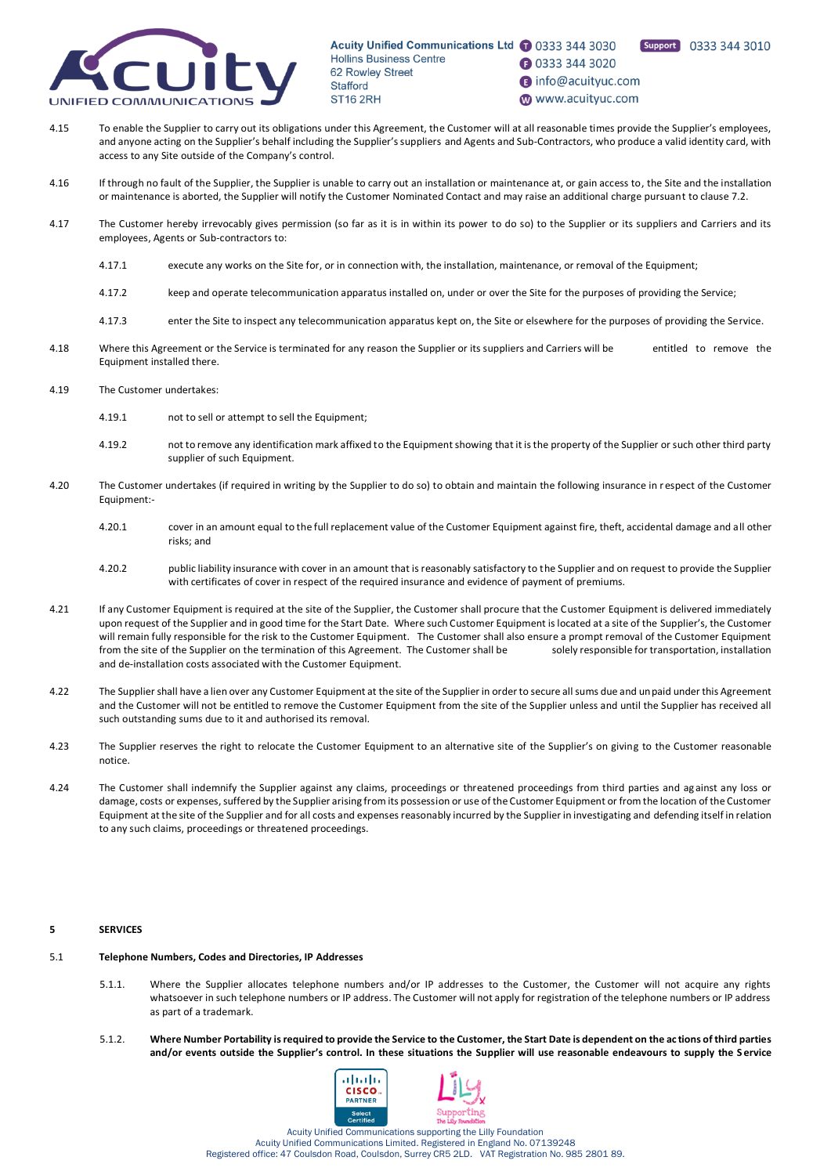

- **1** 0333 344 3020
- nfo@acuityuc.com
- www.acuityuc.com

Support 0333 344 3010

- 4.15 To enable the Supplier to carry out its obligations under this Agreement, the Customer will at all reasonable times provide the Supplier's employees, and anyone acting on the Supplier's behalf including the Supplier's suppliers and Agents and Sub-Contractors, who produce a valid identity card, with access to any Site outside of the Company's control.
- 4.16 If through no fault of the Supplier, the Supplier is unable to carry out an installation or maintenance at, or gain access to, the Site and the installation or maintenance is aborted, the Supplier will notify the Customer Nominated Contact and may raise an additional charge pursuant to clause 7.2.
- 4.17 The Customer hereby irrevocably gives permission (so far as it is in within its power to do so) to the Supplier or its suppliers and Carriers and its employees, Agents or Sub-contractors to:
	- 4.17.1 execute any works on the Site for, or in connection with, the installation, maintenance, or removal of the Equipment;
	- 4.17.2 keep and operate telecommunication apparatus installed on, under or over the Site for the purposes of providing the Service;
	- 4.17.3 enter the Site to inspect any telecommunication apparatus kept on, the Site or elsewhere for the purposes of providing the Service.
- 4.18 Where this Agreement or the Service is terminated for any reason the Supplier or its suppliers and Carriers will be entitled to remove the Equipment installed there.
- 4.19 The Customer undertakes:
	- 4.19.1 not to sell or attempt to sell the Equipment;
	- 4.19.2 not to remove any identification mark affixed to the Equipment showing that it is the property of the Supplier or such other third party supplier of such Equipment.
- 4.20 The Customer undertakes (if required in writing by the Supplier to do so) to obtain and maintain the following insurance in respect of the Customer Equipment:-
	- 4.20.1 cover in an amount equal to the full replacement value of the Customer Equipment against fire, theft, accidental damage and all other risks; and
	- 4.20.2 public liability insurance with cover in an amount that is reasonably satisfactory to the Supplier and on request to provide the Supplier with certificates of cover in respect of the required insurance and evidence of payment of premiums.
- 4.21 If any Customer Equipment is required at the site of the Supplier, the Customer shall procure that the Customer Equipment is delivered immediately upon request of the Supplier and in good time for the Start Date. Where such Customer Equipment is located at a site of the Supplier's, the Customer will remain fully responsible for the risk to the Customer Equipment. The Customer shall also ensure a prompt removal of the Customer Equipment from the site of the Supplier on the termination of this Agreement. The Customer shall be solely responsible for transportation, installation and de-installation costs associated with the Customer Equipment.
- 4.22 The Supplier shall have a lien over any Customer Equipment at the site of the Supplier in order to secure all sums due and unpaid under this Agreement and the Customer will not be entitled to remove the Customer Equipment from the site of the Supplier unless and until the Supplier has received all such outstanding sums due to it and authorised its removal.
- 4.23 The Supplier reserves the right to relocate the Customer Equipment to an alternative site of the Supplier's on giving to the Customer reasonable notice.
- 4.24 The Customer shall indemnify the Supplier against any claims, proceedings or threatened proceedings from third parties and against any loss or damage, costs or expenses, suffered by the Supplier arising from its possession or use of the Customer Equipment or from the location of the Customer Equipment at the site of the Supplier and for all costs and expenses reasonably incurred by the Supplier in investigating and defending itself in relation to any such claims, proceedings or threatened proceedings.

# **5 SERVICES**

- 5.1 **Telephone Numbers, Codes and Directories, IP Addresses**
	- 5.1.1. Where the Supplier allocates telephone numbers and/or IP addresses to the Customer, the Customer will not acquire any rights whatsoever in such telephone numbers or IP address. The Customer will not apply for registration of the telephone numbers or IP address as part of a trademark.
	- 5.1.2. **Where Number Portability is required to provide the Service to the Customer, the Start Date is dependent on the ac tions of third parties and/or events outside the Supplier's control. In these situations the Supplier will use reasonable endeavours to supply the S ervice**

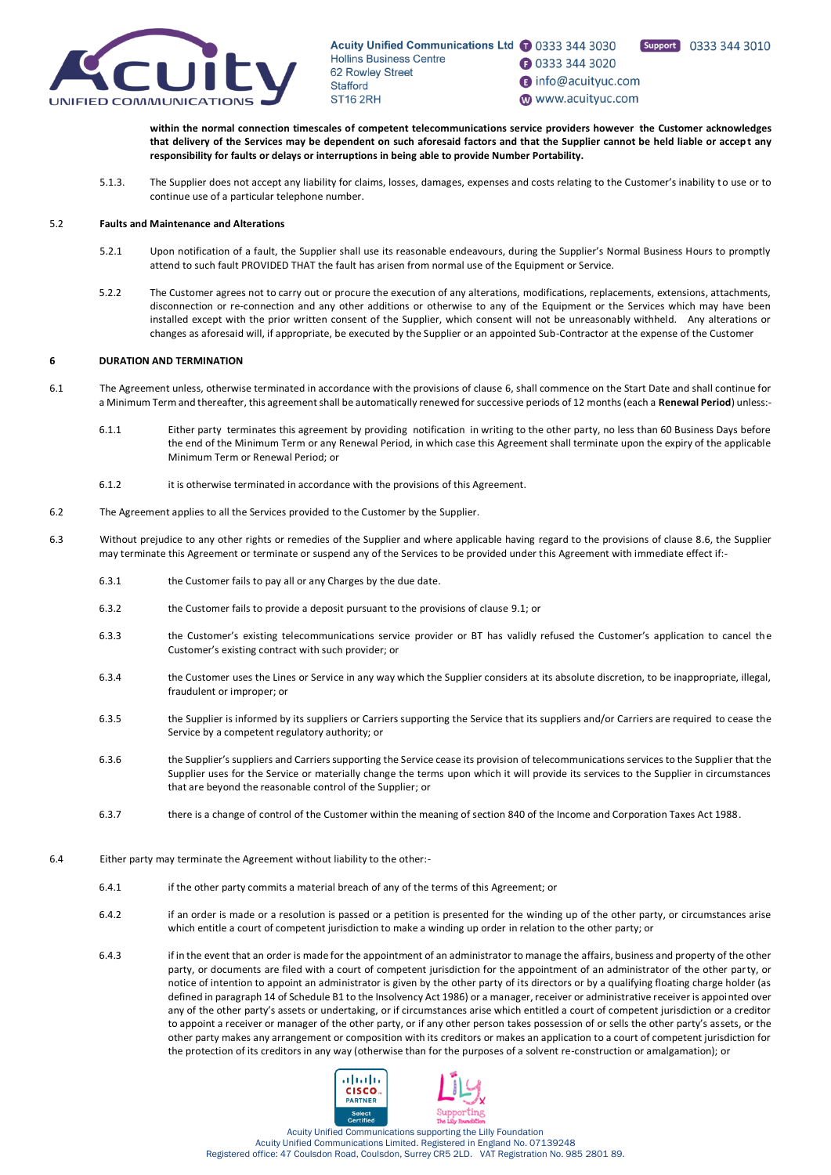

Support 0333 344 3010

**1** 0333 344 3020

nfo@acuityuc.com

www.acuityuc.com

**within the normal connection timescales of competent telecommunications service providers however the Customer acknowledges that delivery of the Services may be dependent on such aforesaid factors and that the Supplier cannot be held liable or accep t any responsibility for faults or delays or interruptions in being able to provide Number Portability.**

5.1.3. The Supplier does not accept any liability for claims, losses, damages, expenses and costs relating to the Customer's inability to use or to continue use of a particular telephone number.

### 5.2 **Faults and Maintenance and Alterations**

- 5.2.1 Upon notification of a fault, the Supplier shall use its reasonable endeavours, during the Supplier's Normal Business Hours to promptly attend to such fault PROVIDED THAT the fault has arisen from normal use of the Equipment or Service.
- 5.2.2 The Customer agrees not to carry out or procure the execution of any alterations, modifications, replacements, extensions, attachments, disconnection or re-connection and any other additions or otherwise to any of the Equipment or the Services which may have been installed except with the prior written consent of the Supplier, which consent will not be unreasonably withheld. Any alterations or changes as aforesaid will, if appropriate, be executed by the Supplier or an appointed Sub-Contractor at the expense of the Customer

# **6 DURATION AND TERMINATION**

- <span id="page-8-0"></span>6.1 The Agreement unless, otherwise terminated in accordance with the provisions of clause 6, shall commence on the Start Date and shall continue for a Minimum Term and thereafter, this agreement shall be automatically renewed for successive periods of 12 months (each a **Renewal Period**) unless:-
	- 6.1.1 Either party terminates this agreement by providing notification in writing to the other party, no less than 60 Business Days before the end of the Minimum Term or any Renewal Period, in which case this Agreement shall terminate upon the expiry of the applicable Minimum Term or Renewal Period; or
	- 6.1.2 it is otherwise terminated in accordance with the provisions of this Agreement.
- 6.2 The Agreement applies to all the Services provided to the Customer by the Supplier.
- <span id="page-8-1"></span>6.3 Without prejudice to any other rights or remedies of the Supplier and where applicable having regard to the provisions of claus[e 8.6,](#page-10-0) the Supplier may terminate this Agreement or terminate or suspend any of the Services to be provided under this Agreement with immediate effect if:-
	- 6.3.1 the Customer fails to pay all or any Charges by the due date.
	- 6.3.2 the Customer fails to provide a deposit pursuant to the provisions of claus[e 9.1;](#page-11-0) or
	- 6.3.3 the Customer's existing telecommunications service provider or BT has validly refused the Customer's application to cancel the Customer's existing contract with such provider; or
	- 6.3.4 the Customer uses the Lines or Service in any way which the Supplier considers at its absolute discretion, to be inappropriate, illegal, fraudulent or improper; or
	- 6.3.5 the Supplier is informed by its suppliers or Carriers supporting the Service that its suppliers and/or Carriers are required to cease the Service by a competent regulatory authority; or
	- 6.3.6 the Supplier's suppliers and Carriers supporting the Service cease its provision of telecommunications services to the Supplier that the Supplier uses for the Service or materially change the terms upon which it will provide its services to the Supplier in circumstances that are beyond the reasonable control of the Supplier; or
	- 6.3.7 there is a change of control of the Customer within the meaning of section 840 of the Income and Corporation Taxes Act 1988.
- 6.4 Either party may terminate the Agreement without liability to the other:-
	- 6.4.1 if the other party commits a material breach of any of the terms of this Agreement; or
	- 6.4.2 if an order is made or a resolution is passed or a petition is presented for the winding up of the other party, or circumstances arise which entitle a court of competent jurisdiction to make a winding up order in relation to the other party; or
	- 6.4.3 if in the event that an order is made for the appointment of an administrator to manage the affairs, business and property of the other party, or documents are filed with a court of competent jurisdiction for the appointment of an administrator of the other party, or notice of intention to appoint an administrator is given by the other party of its directors or by a qualifying floating charge holder (as defined in paragraph 14 of Schedule B1 to the Insolvency Act 1986) or a manager, receiver or administrative receiver is appointed over any of the other party's assets or undertaking, or if circumstances arise which entitled a court of competent jurisdiction or a creditor to appoint a receiver or manager of the other party, or if any other person takes possession of or sells the other party's assets, or the other party makes any arrangement or composition with its creditors or makes an application to a court of competent jurisdiction for the protection of its creditors in any way (otherwise than for the purposes of a solvent re-construction or amalgamation); or

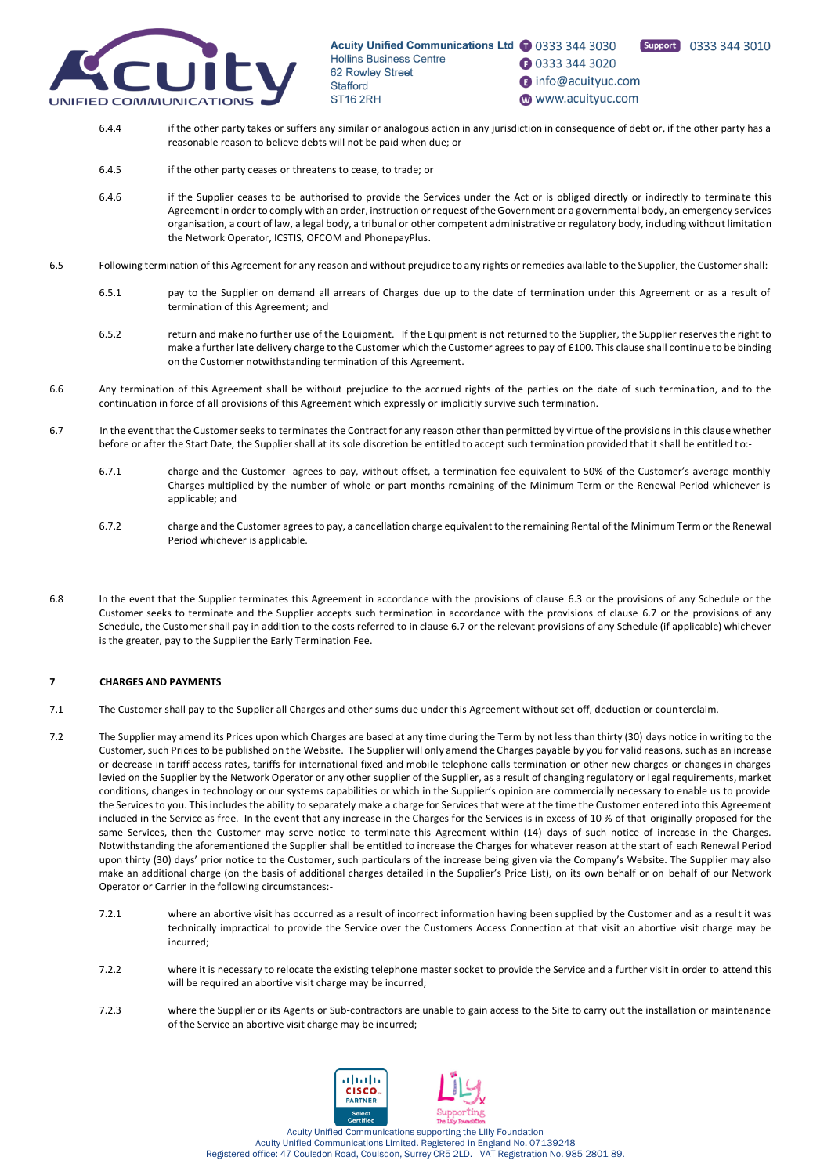

Support 0333 344 3010 **1** 0333 344 3020

nfo@acuityuc.com

www.acuityuc.com

- 6.4.4 if the other party takes or suffers any similar or analogous action in any jurisdiction in consequence of debt or, if the other party has a reasonable reason to believe debts will not be paid when due; or
- 6.4.5 if the other party ceases or threatens to cease, to trade; or
- 6.4.6 if the Supplier ceases to be authorised to provide the Services under the Act or is obliged directly or indirectly to terminate this Agreement in order to comply with an order, instruction or request of the Government or a governmental body, an emergency services organisation, a court of law, a legal body, a tribunal or other competent administrative or regulatory body, including without limitation the Network Operator, ICSTIS, OFCOM and PhonepayPlus.
- 6.5 Following termination of this Agreement for any reason and without prejudice to any rights or remedies available to the Supplier, the Customer shall:-
	- 6.5.1 pay to the Supplier on demand all arrears of Charges due up to the date of termination under this Agreement or as a result of termination of this Agreement; and
	- 6.5.2 return and make no further use of the Equipment. If the Equipment is not returned to the Supplier, the Supplier reserves the right to make a further late delivery charge to the Customer which the Customer agrees to pay of £100. This clause shall continue to be binding on the Customer notwithstanding termination of this Agreement.
- 6.6 Any termination of this Agreement shall be without prejudice to the accrued rights of the parties on the date of such termina tion, and to the continuation in force of all provisions of this Agreement which expressly or implicitly survive such termination.
- <span id="page-9-1"></span>6.7 In the event that the Customer seeks to terminates the Contract for any reason other than permitted by virtue of the provisions in this clause whether before or after the Start Date, the Supplier shall at its sole discretion be entitled to accept such termination provided that it shall be entitled to:-
	- 6.7.1 charge and the Customer agrees to pay, without offset, a termination fee equivalent to 50% of the Customer's average monthly Charges multiplied by the number of whole or part months remaining of the Minimum Term or the Renewal Period whichever is applicable; and
	- 6.7.2 charge and the Customer agrees to pay, a cancellation charge equivalent to the remaining Rental of the Minimum Term or the Renewal Period whichever is applicable.
- <span id="page-9-0"></span>6.8 In the event that the Supplier terminates this Agreement in accordance with the provisions of clause [6.3](#page-8-1) or the provisions of any Schedule or the Customer seeks to terminate and the Supplier accepts such termination in accordance with the provisions of clause [6.7](#page-9-1) or the provisions of any Schedule, the Customer shall pay in addition to the costs referred to in claus[e 6.7](#page-9-1) or the relevant provisions of any Schedule (if applicable) whichever is the greater, pay to the Supplier the Early Termination Fee.

# **7 CHARGES AND PAYMENTS**

- 7.1 The Customer shall pay to the Supplier all Charges and other sums due under this Agreement without set off, deduction or counterclaim.
- <span id="page-9-2"></span>7.2 The Supplier may amend its Prices upon which Charges are based at any time during the Term by not less than thirty (30) days notice in writing to the Customer, such Prices to be published on the Website. The Supplier will only amend the Charges payable by you for valid reasons, such as an increase or decrease in tariff access rates, tariffs for international fixed and mobile telephone calls termination or other new charges or changes in charges levied on the Supplier by the Network Operator or any other supplier of the Supplier, as a result of changing regulatory or legal requirements, market conditions, changes in technology or our systems capabilities or which in the Supplier's opinion are commercially necessary to enable us to provide the Services to you. This includes the ability to separately make a charge for Services that were at the time the Customer entered into this Agreement included in the Service as free. In the event that any increase in the Charges for the Services is in excess of 10 % of that originally proposed for the same Services, then the Customer may serve notice to terminate this Agreement within (14) days of such notice of increase in the Charges. Notwithstanding the aforementioned the Supplier shall be entitled to increase the Charges for whatever reason at the start of each Renewal Period upon thirty (30) days' prior notice to the Customer, such particulars of the increase being given via the Company's Website. The Supplier may also make an additional charge (on the basis of additional charges detailed in the Supplier's Price List), on its own behalf or on behalf of our Network Operator or Carrier in the following circumstances:-
	- 7.2.1 where an abortive visit has occurred as a result of incorrect information having been supplied by the Customer and as a result it was technically impractical to provide the Service over the Customers Access Connection at that visit an abortive visit charge may be incurred;
	- 7.2.2 where it is necessary to relocate the existing telephone master socket to provide the Service and a further visit in order to attend this will be required an abortive visit charge may be incurred;
	- 7.2.3 where the Supplier or its Agents or Sub-contractors are unable to gain access to the Site to carry out the installation or maintenance of the Service an abortive visit charge may be incurred;

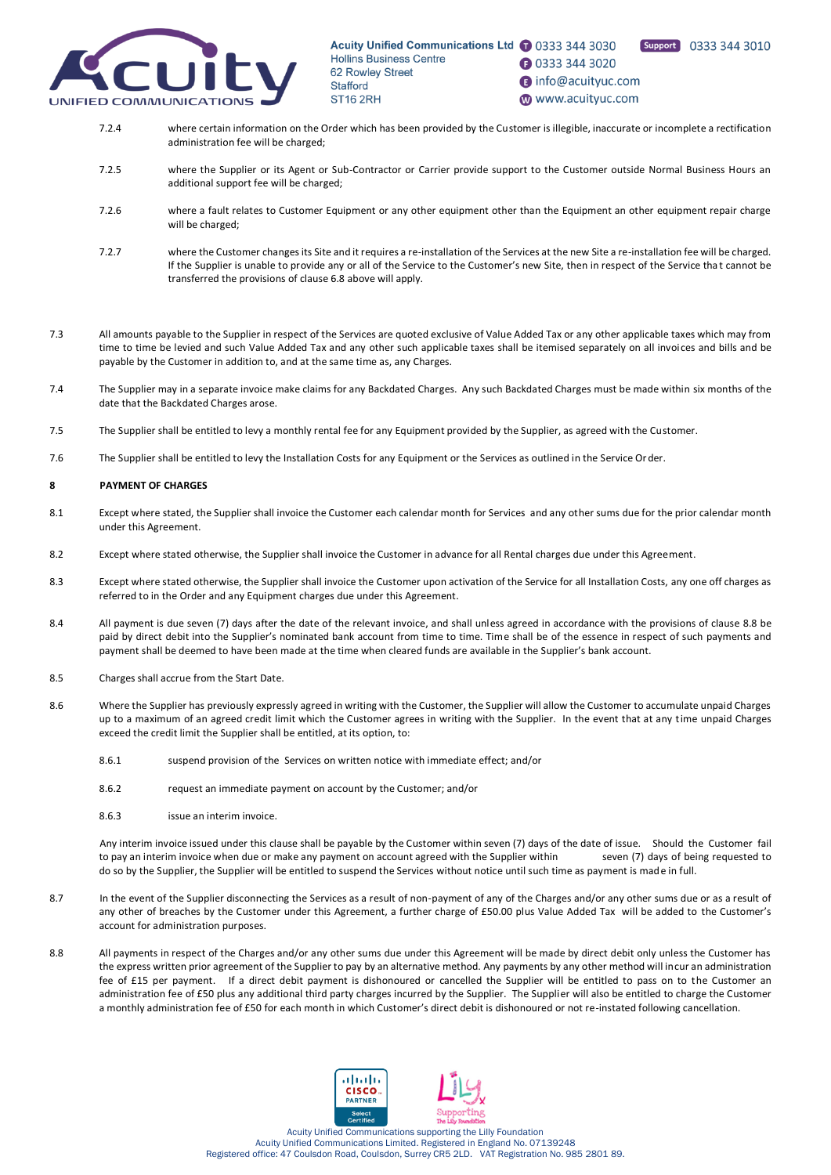

Support 0333 344 3010 **1** 0333 344 3020

- nfo@acuityuc.com
- www.acuityuc.com
- 7.2.4 where certain information on the Order which has been provided by the Customer is illegible, inaccurate or incomplete a rectification administration fee will be charged;
- 7.2.5 where the Supplier or its Agent or Sub-Contractor or Carrier provide support to the Customer outside Normal Business Hours an additional support fee will be charged;
- 7.2.6 where a fault relates to Customer Equipment or any other equipment other than the Equipment an other equipment repair charge will be charged;
- 7.2.7 where the Customer changes its Site and it requires a re-installation of the Services at the new Site a re-installation fee will be charged. If the Supplier is unable to provide any or all of the Service to the Customer's new Site, then in respect of the Service tha t cannot be transferred the provisions of clause 6.8 above will apply.
- 7.3 All amounts payable to the Supplier in respect of the Services are quoted exclusive of Value Added Tax or any other applicable taxes which may from time to time be levied and such Value Added Tax and any other such applicable taxes shall be itemised separately on all invoices and bills and be payable by the Customer in addition to, and at the same time as, any Charges.
- 7.4 The Supplier may in a separate invoice make claims for any Backdated Charges. Any such Backdated Charges must be made within six months of the date that the Backdated Charges arose.
- 7.5 The Supplier shall be entitled to levy a monthly rental fee for any Equipment provided by the Supplier, as agreed with the Customer.
- 7.6 The Supplier shall be entitled to levy the Installation Costs for any Equipment or the Services as outlined in the Service Order.

# **8 PAYMENT OF CHARGES**

- 8.1 Except where stated, the Supplier shall invoice the Customer each calendar month for Services and any other sums due for the prior calendar month under this Agreement.
- 8.2 Except where stated otherwise, the Supplier shall invoice the Customer in advance for all Rental charges due under this Agreement.
- 8.3 Except where stated otherwise, the Supplier shall invoice the Customer upon activation of the Service for all Installation Costs, any one off charges as referred to in the Order and any Equipment charges due under this Agreement.
- 8.4 All payment is due seven (7) days after the date of the relevant invoice, and shall unless agreed in accordance with the provisions of claus[e 8.8](#page-10-1) be paid by direct debit into the Supplier's nominated bank account from time to time. Time shall be of the essence in respect of such payments and payment shall be deemed to have been made at the time when cleared funds are available in the Supplier's bank account.
- 8.5 Charges shall accrue from the Start Date.
- <span id="page-10-0"></span>8.6 Where the Supplier has previously expressly agreed in writing with the Customer, the Supplier will allow the Customer to accumulate unpaid Charges up to a maximum of an agreed credit limit which the Customer agrees in writing with the Supplier. In the event that at any time unpaid Charges exceed the credit limit the Supplier shall be entitled, at its option, to:
	- 8.6.1 suspend provision of the Services on written notice with immediate effect; and/or
	- 8.6.2 request an immediate payment on account by the Customer; and/or
	- 8.6.3 issue an interim invoice.

Any interim invoice issued under this clause shall be payable by the Customer within seven (7) days of the date of issue. Should the Customer fail to pay an interim invoice when due or make any payment on account agreed with the Supplier within seven (7) days of being requested to do so by the Supplier, the Supplier will be entitled to suspend the Services without notice until such time as payment is made in full.

- 8.7 In the event of the Supplier disconnecting the Services as a result of non-payment of any of the Charges and/or any other sums due or as a result of any other of breaches by the Customer under this Agreement, a further charge of £50.00 plus Value Added Tax will be added to the Customer's account for administration purposes.
- <span id="page-10-1"></span>8.8 All payments in respect of the Charges and/or any other sums due under this Agreement will be made by direct debit only unless the Customer has the express written prior agreement of the Supplier to pay by an alternative method. Any payments by any other method will incur an administration fee of £15 per payment. If a direct debit payment is dishonoured or cancelled the Supplier will be entitled to pass on to the Customer an administration fee of £50 plus any additional third party charges incurred by the Supplier. The Supplier will also be entitled to charge the Customer a monthly administration fee of £50 for each month in which Customer's direct debit is dishonoured or not re-instated following cancellation.

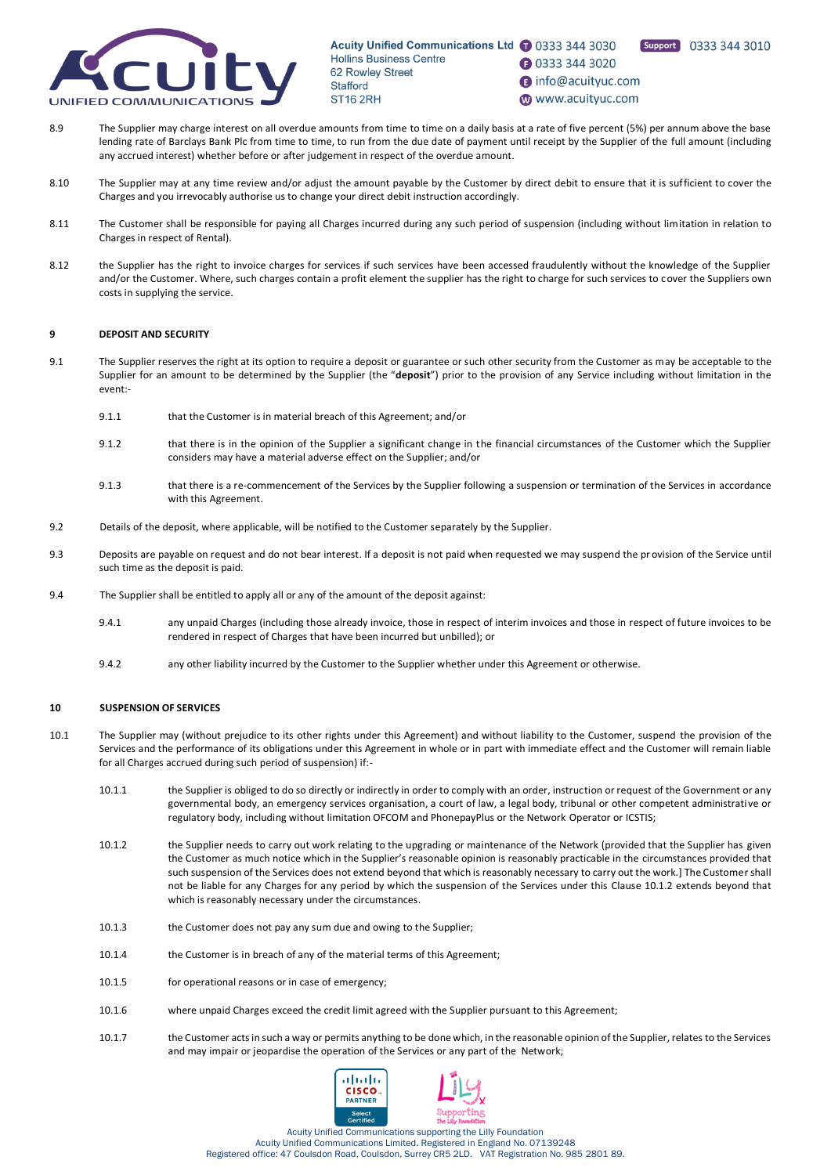

# **1** 0333 344 3020

**B** info@acuityuc.com

Support 0333 344 3010

- www.acuityuc.com
- 8.9 The Supplier may charge interest on all overdue amounts from time to time on a daily basis at a rate of five percent (5%) per annum above the base lending rate of Barclays Bank Plc from time to time, to run from the due date of payment until receipt by the Supplier of the full amount (including any accrued interest) whether before or after judgement in respect of the overdue amount.
- 8.10 The Supplier may at any time review and/or adjust the amount payable by the Customer by direct debit to ensure that it is sufficient to cover the Charges and you irrevocably authorise us to change your direct debit instruction accordingly.
- 8.11 The Customer shall be responsible for paying all Charges incurred during any such period of suspension (including without limitation in relation to Charges in respect of Rental).
- 8.12 the Supplier has the right to invoice charges for services if such services have been accessed fraudulently without the knowledge of the Supplier and/or the Customer. Where, such charges contain a profit element the supplier has the right to charge for such services to cover the Suppliers own costs in supplying the service.

# **9 DEPOSIT AND SECURITY**

- <span id="page-11-0"></span>9.1 The Supplier reserves the right at its option to require a deposit or guarantee or such other security from the Customer as may be acceptable to the Supplier for an amount to be determined by the Supplier (the "**deposit**") prior to the provision of any Service including without limitation in the event:-
	- 9.1.1 that the Customer is in material breach of this Agreement; and/or
	- 9.1.2 that there is in the opinion of the Supplier a significant change in the financial circumstances of the Customer which the Supplier considers may have a material adverse effect on the Supplier; and/or
	- 9.1.3 that there is a re-commencement of the Services by the Supplier following a suspension or termination of the Services in accordance with this Agreement.
- 9.2 Details of the deposit, where applicable, will be notified to the Customer separately by the Supplier.
- 9.3 Deposits are payable on request and do not bear interest. If a deposit is not paid when requested we may suspend the provision of the Service until such time as the deposit is paid.
- 9.4 The Supplier shall be entitled to apply all or any of the amount of the deposit against:
	- 9.4.1 any unpaid Charges (including those already invoice, those in respect of interim invoices and those in respect of future invoices to be rendered in respect of Charges that have been incurred but unbilled); or
	- 9.4.2 any other liability incurred by the Customer to the Supplier whether under this Agreement or otherwise.

#### **10 SUSPENSION OF SERVICES**

- <span id="page-11-1"></span>10.1 The Supplier may (without prejudice to its other rights under this Agreement) and without liability to the Customer, suspend the provision of the Services and the performance of its obligations under this Agreement in whole or in part with immediate effect and the Customer will remain liable for all Charges accrued during such period of suspension) if:-
	- 10.1.1 the Supplier is obliged to do so directly or indirectly in order to comply with an order, instruction or request of the Government or any governmental body, an emergency services organisation, a court of law, a legal body, tribunal or other competent administrati ve or regulatory body, including without limitation OFCOM and PhonepayPlus or the Network Operator or ICSTIS;
	- 10.1.2 the Supplier needs to carry out work relating to the upgrading or maintenance of the Network (provided that the Supplier has given the Customer as much notice which in the Supplier's reasonable opinion is reasonably practicable in the circumstances provided that such suspension of the Services does not extend beyond that which is reasonably necessary to carry out the work.] The Customer shall not be liable for any Charges for any period by which the suspension of the Services under this Clause [10.1.2](#page-11-1) extends beyond that which is reasonably necessary under the circumstances.
	- 10.1.3 the Customer does not pay any sum due and owing to the Supplier;
	- 10.1.4 the Customer is in breach of any of the material terms of this Agreement;
	- 10.1.5 for operational reasons or in case of emergency;
	- 10.1.6 where unpaid Charges exceed the credit limit agreed with the Supplier pursuant to this Agreement;
	- 10.1.7 the Customer acts in such a way or permits anything to be done which, in the reasonable opinion of the Supplier, relates to the Services and may impair or jeopardise the operation of the Services or any part of the Network;

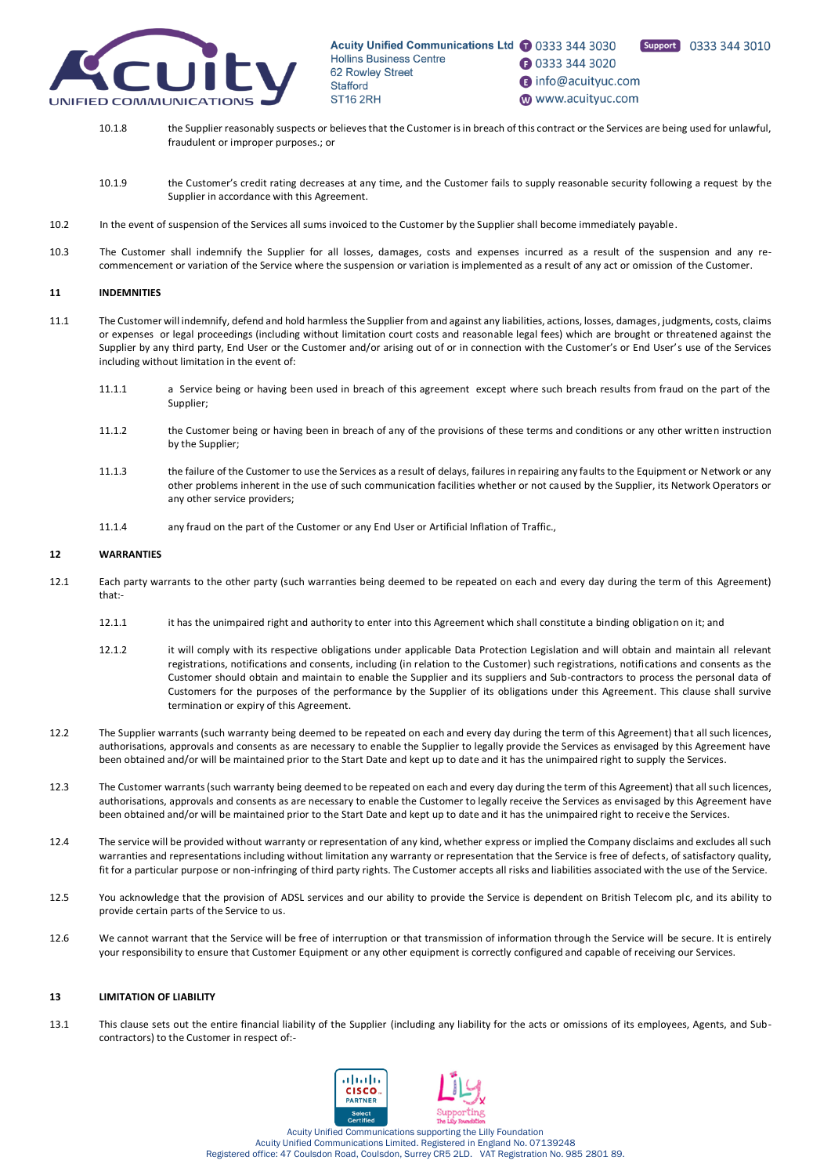<span id="page-12-0"></span>



- **1** 0333 344 3020 nfo@acuityuc.com
- www.acuityuc.com
- 10.1.8 the Supplier reasonably suspects or believes that the Customer is in breach of this contract or the Services are being used for unlawful, fraudulent or improper purposes.; or
- 10.1.9 the Customer's credit rating decreases at any time, and the Customer fails to supply reasonable security following a request by the Supplier in accordance with this Agreement.
- 10.2 In the event of suspension of the Services all sums invoiced to the Customer by the Supplier shall become immediately payable.
- 10.3 The Customer shall indemnify the Supplier for all losses, damages, costs and expenses incurred as a result of the suspension and any recommencement or variation of the Service where the suspension or variation is implemented as a result of any act or omission of the Customer.

#### **11 INDEMNITIES**

- 11.1 The Customer will indemnify, defend and hold harmless the Supplier from and against any liabilities, actions, losses, damages, judgments, costs, claims or expenses or legal proceedings (including without limitation court costs and reasonable legal fees) which are brought or threatened against the Supplier by any third party, End User or the Customer and/or arising out of or in connection with the Customer's or End User's use of the Services including without limitation in the event of:
	- 11.1.1 a Service being or having been used in breach of this agreement except where such breach results from fraud on the part of the Supplier;
	- 11.1.2 the Customer being or having been in breach of any of the provisions of these terms and conditions or any other written instruction by the Supplier;
	- 11.1.3 the failure of the Customer to use the Services as a result of delays, failures in repairing any faults to the Equipment or Network or any other problems inherent in the use of such communication facilities whether or not caused by the Supplier, its Network Operators or any other service providers;
	- 11.1.4 any fraud on the part of the Customer or any End User or Artificial Inflation of Traffic.,

### **12 WARRANTIES**

- 12.1 Each party warrants to the other party (such warranties being deemed to be repeated on each and every day during the term of this Agreement) that:-
	- 12.1.1 it has the unimpaired right and authority to enter into this Agreement which shall constitute a binding obligation on it; and
	- 12.1.2 it will comply with its respective obligations under applicable Data Protection Legislation and will obtain and maintain all relevant registrations, notifications and consents, including (in relation to the Customer) such registrations, notifications and consents as the Customer should obtain and maintain to enable the Supplier and its suppliers and Sub-contractors to process the personal data of Customers for the purposes of the performance by the Supplier of its obligations under this Agreement. This clause shall survive termination or expiry of this Agreement.
- 12.2 The Supplier warrants (such warranty being deemed to be repeated on each and every day during the term of this Agreement) that all such licences, authorisations, approvals and consents as are necessary to enable the Supplier to legally provide the Services as envisaged by this Agreement have been obtained and/or will be maintained prior to the Start Date and kept up to date and it has the unimpaired right to supply the Services.
- 12.3 The Customer warrants (such warranty being deemed to be repeated on each and every day during the term of this Agreement) that all such licences, authorisations, approvals and consents as are necessary to enable the Customer to legally receive the Services as envisaged by this Agreement have been obtained and/or will be maintained prior to the Start Date and kept up to date and it has the unimpaired right to receive the Services.
- 12.4 The service will be provided without warranty or representation of any kind, whether express or implied the Company disclaims and excludes all such warranties and representations including without limitation any warranty or representation that the Service is free of defects, of satisfactory quality, fit for a particular purpose or non-infringing of third party rights. The Customer accepts all risks and liabilities associated with the use of the Service.
- 12.5 You acknowledge that the provision of ADSL services and our ability to provide the Service is dependent on British Telecom plc, and its ability to provide certain parts of the Service to us.
- 12.6 We cannot warrant that the Service will be free of interruption or that transmission of information through the Service will be secure. It is entirely your responsibility to ensure that Customer Equipment or any other equipment is correctly configured and capable of receiving our Services.

#### <span id="page-12-1"></span>**13 LIMITATION OF LIABILITY**

13.1 This clause sets out the entire financial liability of the Supplier (including any liability for the acts or omissions of its employees, Agents, and Subcontractors) to the Customer in respect of:-

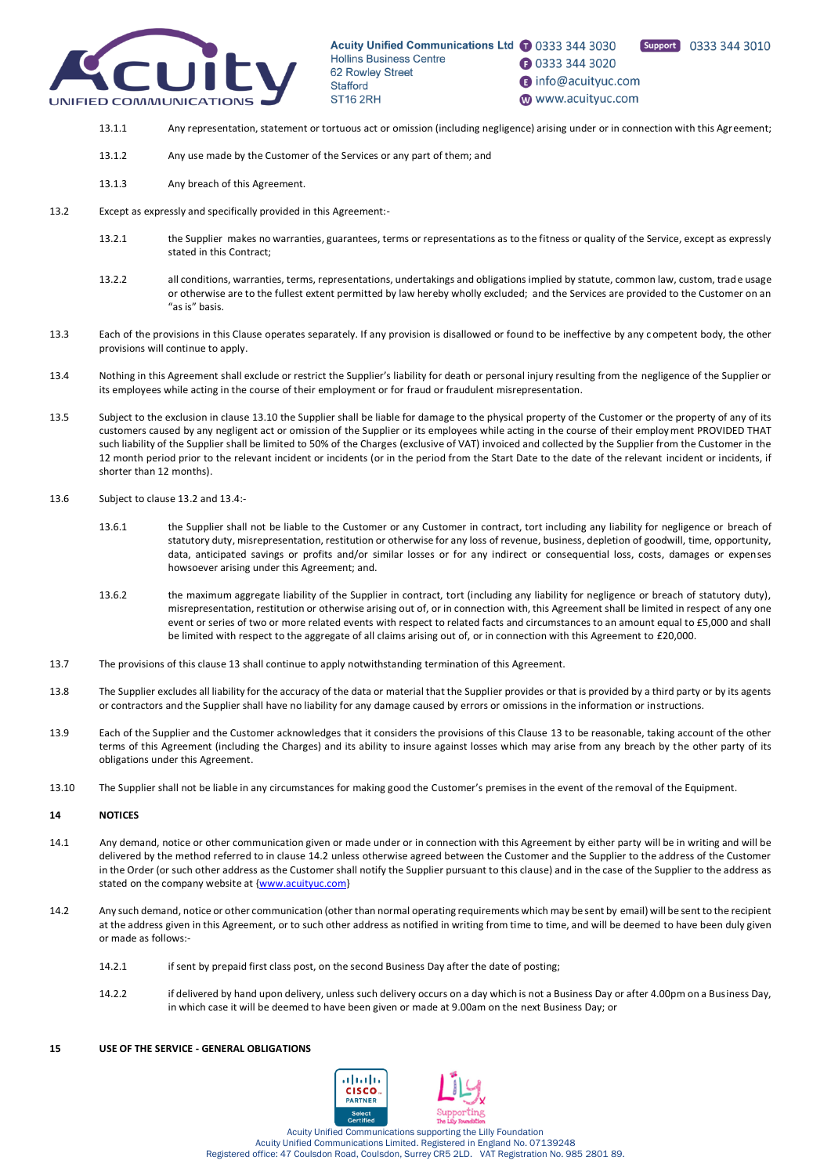

Support 0333 344 3010

**1** 0333 344 3020

nfo@acuityuc.com

www.acuityuc.com

- 13.1.1 Any representation, statement or tortuous act or omission (including negligence) arising under or in connection with this Agreement;
- 13.1.2 Any use made by the Customer of the Services or any part of them; and
- 13.1.3 Any breach of this Agreement.
- 13.2 Except as expressly and specifically provided in this Agreement:-
	- 13.2.1 the Supplier makes no warranties, guarantees, terms or representations as to the fitness or quality of the Service, except as expressly stated in this Contract;
	- 13.2.2 all conditions, warranties, terms, representations, undertakings and obligations implied by statute, common law, custom, trade usage or otherwise are to the fullest extent permitted by law hereby wholly excluded; and the Services are provided to the Customer on an "as is" basis.
- 13.3 Each of the provisions in this Clause operates separately. If any provision is disallowed or found to be ineffective by any c ompetent body, the other provisions will continue to apply.
- <span id="page-13-1"></span>13.4 Nothing in this Agreement shall exclude or restrict the Supplier's liability for death or personal injury resulting from the negligence of the Supplier or its employees while acting in the course of their employment or for fraud or fraudulent misrepresentation.
- 13.5 Subject to the exclusion in claus[e 13.10](#page-13-0) the Supplier shall be liable for damage to the physical property of the Customer or the property of any of its customers caused by any negligent act or omission of the Supplier or its employees while acting in the course of their employment PROVIDED THAT such liability of the Supplier shall be limited to 50% of the Charges (exclusive of VAT) invoiced and collected by the Supplier from the Customer in the 12 month period prior to the relevant incident or incidents (or in the period from the Start Date to the date of the relevant incident or incidents, if shorter than 12 months).
- 13.6 Subject to claus[e 13.2](#page-12-0) an[d 13.4:](#page-13-1)
	- 13.6.1 the Supplier shall not be liable to the Customer or any Customer in contract, tort including any liability for negligence or breach of statutory duty, misrepresentation, restitution or otherwise for any loss of revenue, business, depletion of goodwill, time, opportunity, data, anticipated savings or profits and/or similar losses or for any indirect or consequential loss, costs, damages or expenses howsoever arising under this Agreement; and.
	- 13.6.2 the maximum aggregate liability of the Supplier in contract, tort (including any liability for negligence or breach of statutory duty), misrepresentation, restitution or otherwise arising out of, or in connection with, this Agreement shall be limited in respect of any one event or series of two or more related events with respect to related facts and circumstances to an amount equal to £5,000 and shall be limited with respect to the aggregate of all claims arising out of, or in connection with this Agreement to £20,000.
- 13.7 The provisions of this claus[e 13](#page-12-1) shall continue to apply notwithstanding termination of this Agreement.
- 13.8 The Supplier excludes all liability for the accuracy of the data or material that the Supplier provides or that is provided by a third party or by its agents or contractors and the Supplier shall have no liability for any damage caused by errors or omissions in the information or instructions.
- 13.9 Each of the Supplier and the Customer acknowledges that it considers the provisions of this Clause [13](#page-12-1) to be reasonable, taking account of the other terms of this Agreement (including the Charges) and its ability to insure against losses which may arise from any breach by the other party of its obligations under this Agreement.
- <span id="page-13-0"></span>13.10 The Supplier shall not be liable in any circumstances for making good the Customer's premises in the event of the removal of the Equipment.

# **14 NOTICES**

- 14.1 Any demand, notice or other communication given or made under or in connection with this Agreement by either party will be in writing and will be delivered by the method referred to in claus[e 14.2](#page-13-2) unless otherwise agreed between the Customer and the Supplier to the address of the Customer in the Order (or such other address as the Customer shall notify the Supplier pursuant to this clause) and in the case of the Supplier to the address as stated on the company website at [{www.acuityuc.com}](http://www.acuityuc.com/)
- <span id="page-13-2"></span>14.2 Any such demand, notice or other communication (other than normal operating requirements which may be sent by email) will be sent to the recipient at the address given in this Agreement, or to such other address as notified in writing from time to time, and will be deemed to have been duly given or made as follows:-
	- 14.2.1 if sent by prepaid first class post, on the second Business Day after the date of posting;
	- 14.2.2 if delivered by hand upon delivery, unless such delivery occurs on a day which is not a Business Day or after 4.00pm on a Business Day, in which case it will be deemed to have been given or made at 9.00am on the next Business Day; or

#### **15 USE OF THE SERVICE - GENERAL OBLIGATIONS**

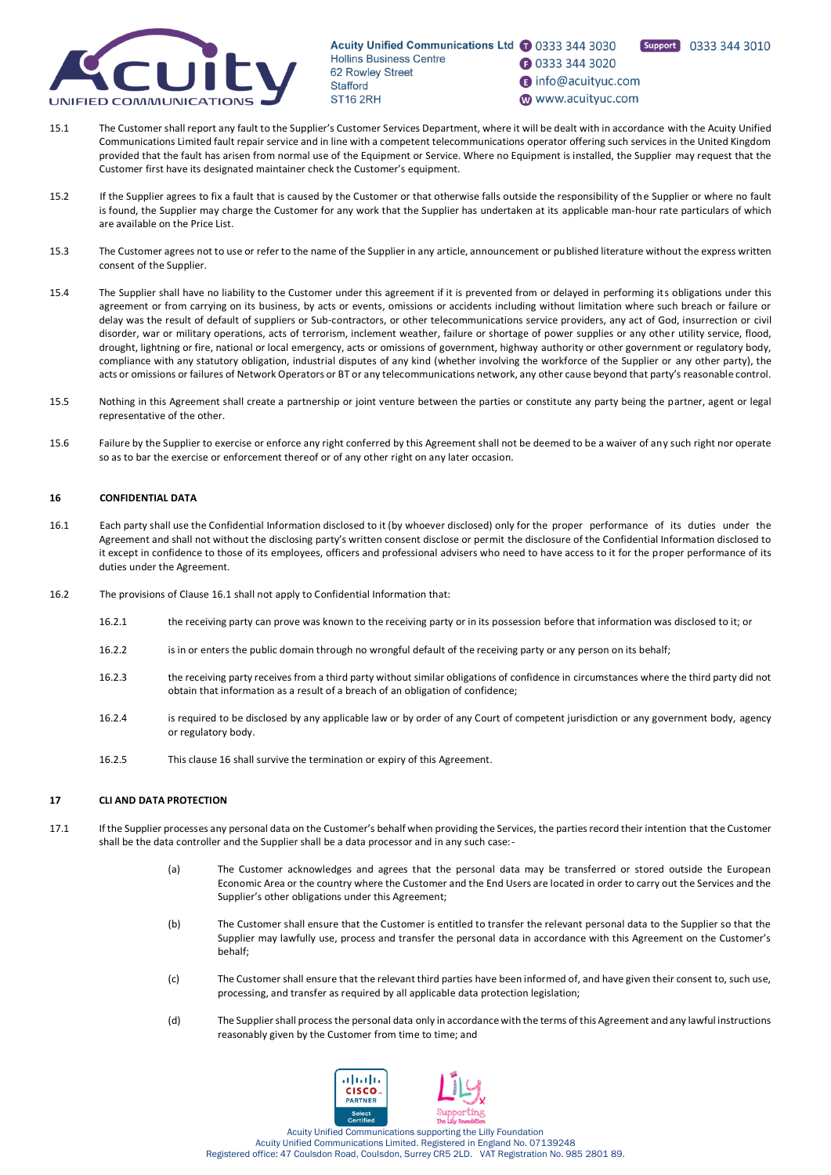

Support 0333 344 3010

**1** 0333 344 3020

nfo@acuityuc.com

www.acuityuc.com

- 15.1 The Customer shall report any fault to the Supplier's Customer Services Department, where it will be dealt with in accordance with the Acuity Unified Communications Limited fault repair service and in line with a competent telecommunications operator offering such services in the United Kingdom provided that the fault has arisen from normal use of the Equipment or Service. Where no Equipment is installed, the Supplier may request that the Customer first have its designated maintainer check the Customer's equipment.
- 15.2 If the Supplier agrees to fix a fault that is caused by the Customer or that otherwise falls outside the responsibility of the Supplier or where no fault is found, the Supplier may charge the Customer for any work that the Supplier has undertaken at its applicable man-hour rate particulars of which are available on the Price List.
- 15.3 The Customer agrees not to use or refer to the name of the Supplier in any article, announcement or published literature without the express written consent of the Supplier.
- 15.4 The Supplier shall have no liability to the Customer under this agreement if it is prevented from or delayed in performing its obligations under this agreement or from carrying on its business, by acts or events, omissions or accidents including without limitation where such breach or failure or delay was the result of default of suppliers or Sub-contractors, or other telecommunications service providers, any act of God, insurrection or civil disorder, war or military operations, acts of terrorism, inclement weather, failure or shortage of power supplies or any other utility service, flood, drought, lightning or fire, national or local emergency, acts or omissions of government, highway authority or other government or regulatory body, compliance with any statutory obligation, industrial disputes of any kind (whether involving the workforce of the Supplier or any other party), the acts or omissions or failures of Network Operators or BT or any telecommunications network, any other cause beyond that party's reasonable control.
- 15.5 Nothing in this Agreement shall create a partnership or joint venture between the parties or constitute any party being the partner, agent or legal representative of the other.
- 15.6 Failure by the Supplier to exercise or enforce any right conferred by this Agreement shall not be deemed to be a waiver of any such right nor operate so as to bar the exercise or enforcement thereof or of any other right on any later occasion.

# <span id="page-14-1"></span>**16 CONFIDENTIAL DATA**

- <span id="page-14-0"></span>16.1 Each party shall use the Confidential Information disclosed to it (by whoever disclosed) only for the proper performance of its duties under the Agreement and shall not without the disclosing party's written consent disclose or permit the disclosure of the Confidential Information disclosed to it except in confidence to those of its employees, officers and professional advisers who need to have access to it for the proper performance of its duties under the Agreement.
- 16.2 The provisions of Clause [16.1](#page-14-0) shall not apply to Confidential Information that:
	- 16.2.1 the receiving party can prove was known to the receiving party or in its possession before that information was disclosed to it; or
	- 16.2.2 is in or enters the public domain through no wrongful default of the receiving party or any person on its behalf;
	- 16.2.3 the receiving party receives from a third party without similar obligations of confidence in circumstances where the third party did not obtain that information as a result of a breach of an obligation of confidence;
	- 16.2.4 is required to be disclosed by any applicable law or by order of any Court of competent jurisdiction or any government body, agency or regulatory body.
	- 16.2.5 This claus[e 16](#page-14-1) shall survive the termination or expiry of this Agreement.

# **17 CLI AND DATA PROTECTION**

- 17.1 If the Supplier processes any personal data on the Customer's behalf when providing the Services, the parties record their intention that the Customer shall be the data controller and the Supplier shall be a data processor and in any such case:-
	- (a) The Customer acknowledges and agrees that the personal data may be transferred or stored outside the European Economic Area or the country where the Customer and the End Users are located in order to carry out the Services and the Supplier's other obligations under this Agreement;
	- (b) The Customer shall ensure that the Customer is entitled to transfer the relevant personal data to the Supplier so that the Supplier may lawfully use, process and transfer the personal data in accordance with this Agreement on the Customer's behalf;
	- (c) The Customer shall ensure that the relevant third parties have been informed of, and have given their consent to, such use, processing, and transfer as required by all applicable data protection legislation;
	- (d) The Supplier shall process the personal data only in accordance with the terms of this Agreement and any lawful instructions reasonably given by the Customer from time to time; and

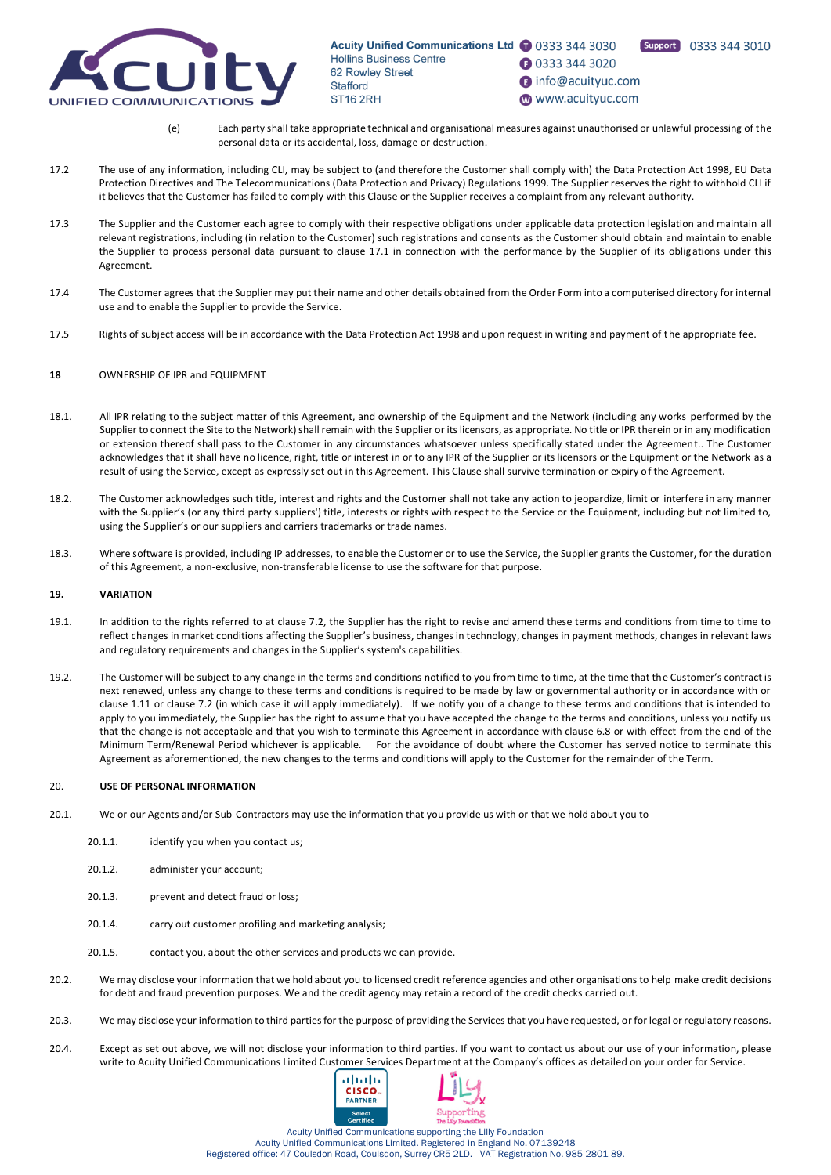

**1** 0333 344 3020

nfo@acuityuc.com

www.acuityuc.com

Support 0333 344 3010

- (e) Each party shall take appropriate technical and organisational measures against unauthorised or unlawful processing of the personal data or its accidental, loss, damage or destruction.
- 17.2 The use of any information, including CLI, may be subject to (and therefore the Customer shall comply with) the Data Protection Act 1998, EU Data Protection Directives and The Telecommunications (Data Protection and Privacy) Regulations 1999. The Supplier reserves the right to withhold CLI if it believes that the Customer has failed to comply with this Clause or the Supplier receives a complaint from any relevant authority.
- 17.3 The Supplier and the Customer each agree to comply with their respective obligations under applicable data protection legislation and maintain all relevant registrations, including (in relation to the Customer) such registrations and consents as the Customer should obtain and maintain to enable the Supplier to process personal data pursuant to clause 17.1 in connection with the performance by the Supplier of its oblig ations under this Agreement.
- 17.4 The Customer agrees that the Supplier may put their name and other details obtained from the Order Form into a computerised directory for internal use and to enable the Supplier to provide the Service.
- 17.5 Rights of subject access will be in accordance with the Data Protection Act 1998 and upon request in writing and payment of the appropriate fee.

# **18** OWNERSHIP OF IPR and EQUIPMENT

- 18.1. All IPR relating to the subject matter of this Agreement, and ownership of the Equipment and the Network (including any works performed by the Supplier to connect the Site to the Network) shall remain with the Supplier or its licensors, as appropriate. No title or IPR therein or in any modification or extension thereof shall pass to the Customer in any circumstances whatsoever unless specifically stated under the Agreement.. The Customer acknowledges that it shall have no licence, right, title or interest in or to any IPR of the Supplier or its licensors or the Equipment or the Network as a result of using the Service, except as expressly set out in this Agreement. This Clause shall survive termination or expiry of the Agreement.
- 18.2. The Customer acknowledges such title, interest and rights and the Customer shall not take any action to jeopardize, limit or interfere in any manner with the Supplier's (or any third party suppliers') title, interests or rights with respect to the Service or the Equipment, including but not limited to, using the Supplier's or our suppliers and carriers trademarks or trade names.
- 18.3. Where software is provided, including IP addresses, to enable the Customer or to use the Service, the Supplier grants the Customer, for the duration of this Agreement, a non-exclusive, non-transferable license to use the software for that purpose.

# **19. VARIATION**

- 19.1. In addition to the rights referred to at clause 7.2, the Supplier has the right to revise and amend these terms and conditions from time to time to reflect changes in market conditions affecting the Supplier's business, changes in technology, changes in payment methods, changes in relevant laws and regulatory requirements and changes in the Supplier's system's capabilities.
- 19.2. The Customer will be subject to any change in the terms and conditions notified to you from time to time, at the time that the Customer's contract is next renewed, unless any change to these terms and conditions is required to be made by law or governmental authority or in accordance with or clause [1.11](#page-4-0) or claus[e 7.2](#page-9-2) (in which case it will apply immediately). If we notify you of a change to these terms and conditions that is intended to apply to you immediately, the Supplier has the right to assume that you have accepted the change to the terms and conditions, unless you notify us that the change is not acceptable and that you wish to terminate this Agreement in accordance with clause 6.8 or with effect from the end of the Minimum Term/Renewal Period whichever is applicable. For the avoidance of doubt where the Customer has served notice to terminate this Agreement as aforementioned, the new changes to the terms and conditions will apply to the Customer for the remainder of the Term.

# 20. **USE OF PERSONAL INFORMATION**

- 20.1. We or our Agents and/or Sub-Contractors may use the information that you provide us with or that we hold about you to
	- 20.1.1. identify you when you contact us;
	- 20.1.2. administer your account;
	- 20.1.3. prevent and detect fraud or loss;
	- 20.1.4. carry out customer profiling and marketing analysis;
	- 20.1.5. contact you, about the other services and products we can provide.
- 20.2. We may disclose your information that we hold about you to licensed credit reference agencies and other organisations to help make credit decisions for debt and fraud prevention purposes. We and the credit agency may retain a record of the credit checks carried out.
- 20.3. We may disclose your information to third parties for the purpose of providing the Services that you have requested, or for legal or regulatory reasons.
- 20.4. Except as set out above, we will not disclose your information to third parties. If you want to contact us about our use of y our information, please write to Acuity Unified Communications Limited Customer Services Department at the Company's offices as detailed on your order for Service.